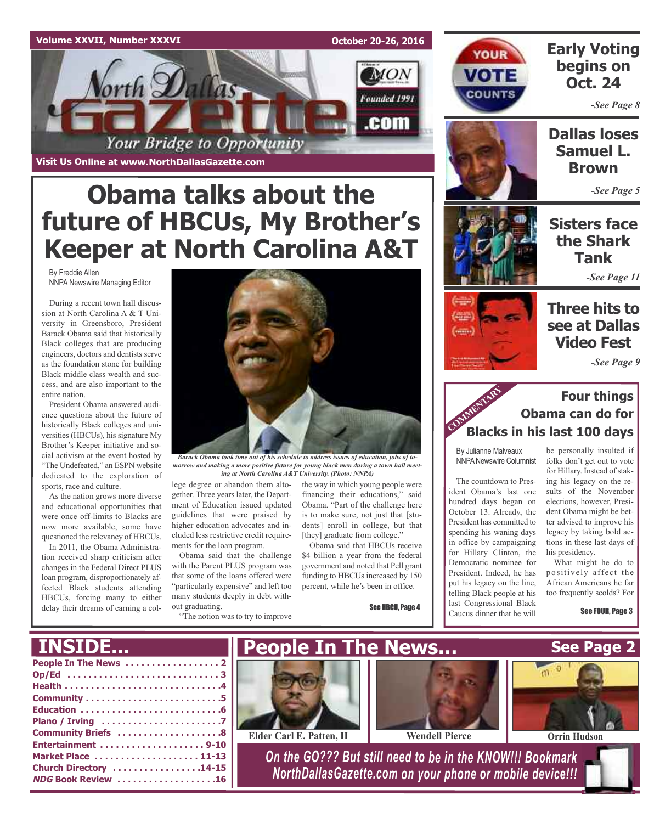### **Volume XXVII, Number XXXVI**

**October 20-26, 2016 MON** Founded 1991 .com Your Bridge to Opportunity

**Visit Us Online at www.NorthDallasGazette.com**

# **Obama talks about the future of HBCUs, My Brother's Keeper at North Carolina A&T**

By Freddie Allen NNPA Newswire Managing Editor

During a recent town hall discussion at North Carolina A & T University in Greensboro, President Barack Obama said that historically Black colleges that are producing engineers, doctors and dentists serve as the foundation stone for building Black middle class wealth and success, and are also important to the entire nation.

President Obama answered audience questions about the future of historically Black colleges and universities (HBCUs), his signature My Brother's Keeper initiative and social activism at the event hosted by "The Undefeated," an ESPN website dedicated to the exploration of sports, race and culture.

As the nation grows more diverse and educational opportunities that were once off-limits to Blacks are now more available, some have questioned the relevancy of HBCUs.

In 2011, the Obama Administration received sharp criticism after changes in the Federal Direct PLUS loan program, disproportionately affected Black students attending HBCUs, forcing many to either delay their dreams of earning a col-



*Barack Obama took time out of his schedule to address issues of education, jobs of tomorrow and making a more positive future for young black men during a town hall meeting at North Carolina A&T University. (Photo: NNPA)*

lege degree or abandon them altogether. Three years later, the Department of Education issued updated guidelines that were praised by higher education advocates and included less restrictive credit requirements for the loan program.

Obama said that the challenge with the Parent PLUS program was that some of the loans offered were "particularly expensive" and left too many students deeply in debt without graduating.

"The notion was to try to improve

the way in which young people were financing their educations," said Obama. "Part of the challenge here is to make sure, not just that [students] enroll in college, but that [they] graduate from college."

Obama said that HBCUs receive \$4 billion a year from the federal government and noted that Pell grant funding to HBCUs increased by 150 percent, while he's been in office.

See HBCU, Page 4



## **Early Voting begins on Oct. 24**

*-See Page 8*



**Dallas loses Samuel L. Brown**

*-See Page 5*

**Sisters face the Shark Tank** *-See Page 11*



## **Three hits to see at Dallas Video Fest**

*-See Page 9*

### **Four things Obama can do for Blacks in his last 100 days** COMMENTARY

By Julianne Malveaux **NNPA Newswire Columnist** 

The countdown to President Obama's last one hundred days began on October 13. Already, the President has committed to spending his waning days in office by campaigning for Hillary Clinton, the Democratic nominee for President. Indeed, he has put his legacy on the line, telling Black people at his last Congressional Black Caucus dinner that he will

be personally insulted if folks don't get out to vote for Hillary. Instead of staking his legacy on the results of the November elections, however, President Obama might be better advised to improve his legacy by taking bold actions in these last days of his presidency.

What might he do to positively affect the African Americans he far too frequently scolds? For

See FOUR, Page 3

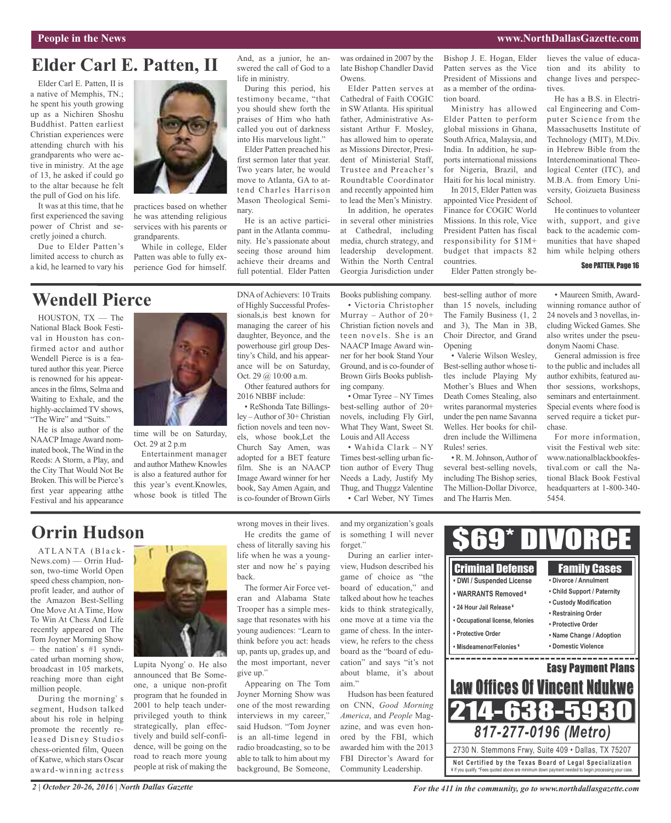## **Elder Carl E. Patten, II**

Elder Carl E. Patten, II is a native of Memphis, TN.; he spent his youth growing up as a Nichiren Shoshu Buddhist. Patten earliest Christian experiences were attending church with his grandparents who were active in ministry. At the age of 13, he asked if could go to the altar because he felt the pull of God on his life.

It was at this time, that he first experienced the saving power of Christ and secretly joined a church.

Due to Elder Patten's limited access to church as a kid, he learned to vary his



practices based on whether he was attending religious services with his parents or grandparents.

While in college, Elder Patten was able to fully experience God for himself.

#### And, as a junior, he answered the call of God to a life in ministry.

During this period, his testimony became, "that you should shew forth the praises of Him who hath called you out of darkness into His marvelous light."

Elder Patten preached his first sermon later that year. Two years later, he would move to Atlanta, GA to attend Charles Harrison Mason Theological Seminary.

He is an active participant in the Atlanta community. He's passionate about seeing those around him achieve their dreams and full potential. Elder Patten

was ordained in 2007 by the late Bishop Chandler David Owens.

Elder Patten serves at Cathedral of Faith COGIC in SWAtlanta. His spiritual father, Administrative Assistant Arthur F. Mosley, has allowed him to operate as Missions Director, President of Ministerial Staff, Trustee and Preacher's Roundtable Coordinator and recently appointed him to lead the Men's Ministry.

In addition, he operates in several other ministries at Cathedral, including media, church strategy, and leadership development. Within the North Central Georgia Jurisdiction under

Bishop J. E. Hogan, Elder Patten serves as the Vice President of Missions and as a member of the ordination board.

Ministry has allowed Elder Patten to perform global missions in Ghana, South Africa, Malaysia, and India. In addition, he supports international missions for Nigeria, Brazil, and Haiti for his local ministry.

In 2015, Elder Patten was appointed Vice President of Finance for COGIC World Missions. In this role, Vice President Patten has fiscal responsibility for \$1M+ budget that impacts 82 countries.

Elder Patten strongly be-

lieves the value of education and its ability to change lives and perspectives.

He has a B.S. in Electrical Engineering and Computer Science from the Massachusetts Institute of Technology (MIT), M.Div. in Hebrew Bible from the Interdenominational Theological Center (ITC), and M.B.A. from Emory University, Goizueta Business School.

He continues to volunteer with, support, and give back to the academic communities that have shaped him while helping others

### See PATTEN, Page 16

**Wendell Pierce**

HOUSTON, TX — The National Black Book Festival in Houston has confirmed actor and author Wendell Pierce is is a featured author this year. Pierce is renowned for his appearancesin the films, Selma and Waiting to Exhale, and the highly-acclaimed TV shows, "The Wire" and "Suits."

He is also author of the NAACP Image Award nominated book, The Wind in the Reeds: A Storm, a Play, and the City That Would Not Be Broken. This will be Pierce's first year appearing atthe Festival and his appearance



time will be on Saturday, Oct. 29 at 2 p.m

Entertainment manager and author Mathew Knowles is also a featured author for this year's event.Knowles, whose book is titled The DNAofAchievers: 10 Traits of Highly Successful Professionals,is best known for managing the career of his daughter, Beyonce, and the powerhouse girl group Destiny's Child, and his appearance will be on Saturday, Oct. 29 @ 10:00 a.m.

Other featured authors for 2016 NBBF include:

• ReShonda Tate Billingsley –Author of 30+ Christian fiction novels and teen novels, whose book,Let the Church Say Amen, was adopted for a BET feature film. She is an NAACP Image Award winner for her book, Say Amen Again, and is co-founder of Brown Girls

Books publishing company. • Victoria Christopher Murray – Author of 20+ Christian fiction novels and teen novels. She is an NAACP Image Award winner for her book Stand Your Ground, and is co-founder of Brown Girls Books publishing company.

• Omar Tyree – NY Times best-selling author of 20+ novels, including Fly Girl, What They Want, Sweet St. Louis and All Access

• Wahida Clark – NY Times best-selling urban fiction author of Every Thug Needs a Lady, Justify My Thug, and Thuggz Valentine • Carl Weber, NY Times best-selling author of more than 15 novels, including The Family Business (1, 2 and 3), The Man in 3B, Choir Director, and Grand Opening

• Valerie Wilson Wesley, Best-selling author whose titles include Playing My Mother's Blues and When Death Comes Stealing, also writes paranormal mysteries under the pen name Savanna Welles. Her books for children include the Willimena Rules! series.

• R. M.Johnson,Author of several best-selling novels, including The Bishop series, The Million-Dollar Divorce, and The Harris Men.

• Maureen Smith, Awardwinning romance author of 24 novels and 3 novellas, including Wicked Games. She also writes under the pseudonym Naomi Chase.

General admission is free to the public and includes all author exhibits, featured author sessions, workshops, seminars and entertainment. Special events where food is served require a ticket purchase.

For more information, visit the Festival web site: www.nationalblackbookfestival.com or call the National Black Book Festival headquarters at 1-800-340- 5454.

## **Orrin Hudson**

ATLANTA (Black-News.com) — Orrin Hudson, two-time World Open speed chess champion, nonprofit leader, and author of the Amazon Best-Selling One Move At A Time, How To Win At Chess And Life recently appeared on The Tom Joyner Morning Show – the nation's  $#1$  syndicated urban morning show, broadcast in 105 markets, reaching more than eight million people.

During the morning's segment, Hudson talked about his role in helping promote the recently released Disney Studios chess-oriented film, Queen of Katwe, which stars Oscar award-winning actress



Lupita Nyong' o. He also announced that Be Someone, a unique non-profit program that he founded in 2001 to help teach underprivileged youth to think strategically, plan effectively and build self-confidence, will be going on the road to reach more young people at risk of making the

wrong moves in their lives.

He credits the game of chess of literally saving his life when he was a youngster and now he's paying back.

The former Air Force veteran and Alabama State Trooper has a simple message that resonates with his young audiences: "Learn to think before you act: heads up, pants up, grades up, and the most important, never give up.

Appearing on The Tom Joyner Morning Show was one of the most rewarding interviews in my career, said Hudson. "Tom Joyner is an all-time legend in radio broadcasting, so to be able to talk to him about my background, Be Someone,

and my organization's goals is something I will never forget.

During an earlier interview, Hudson described his game of choice as "the board of education," and talked about how he teaches kids to think strategically, one move at a time via the game of chess. In the interview, he refers to the chess board as the "board of education" and says "it's not about blame, it's about aim."

Hudson has been featured on CNN, *Good Morning America*, and *People* Magazine, and was even honored by the FBI, which awarded him with the 2013 FBI Director's Award for Community Leadership.

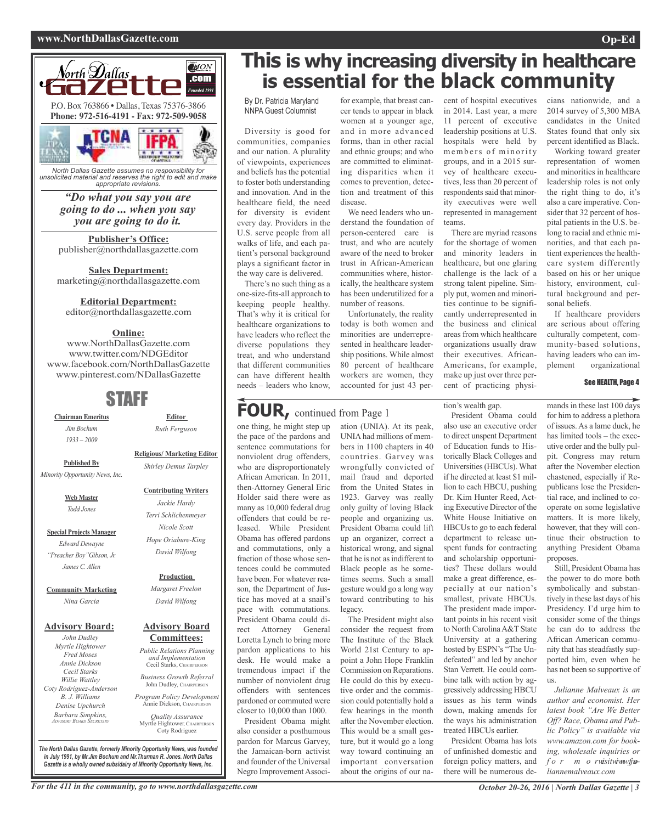### **www.NorthDallasGazette.com Op-Ed**



**Sales Department:** marketing@northdallasgazette.com

### **Editorial Department:**

editor@northdallasgazette.com

### **Online:**

www.NorthDallasGazette.com www.twitter.com/NDGEditor www.facebook.com/NorthDallasGazette www.pinterest.com/NDallasGazette

## STAFF

**Chairman Emeritus** *Jim Bochum 1933 – 2009*

**Editor** *Ruth Ferguson*

**Published By** *Minority Opportunity News, Inc.*

> **Web Master** *Todd Jones*

**Special Projects Manager** *Edward Dewayne "Preacher Boy"Gibson, Jr. James C. Allen*

**Community Marketing** *Nina Garcia*

#### **Advisory Board:**

*John Dudley Myrtle Hightower Fred Moses Annie Dickson Cecil Starks Willie Wattley Coty Rodriguez-Anderson B. J. Williams Denise Upchurch Barbara Simpkins, ADVISORY BOARD SECRETARY*

**Contributing Writers**

**Religious/ Marketing Editor**

### *Terri Schlichenmeyer Nicole Scott*

*David Wilfong*

#### **Production**

*Margaret Freelon David Wilfong*

### **Advisory Board Committees:**

*Public Relations Planning and Implementation* Cecil Starks, CHAIRPERSON

*Business Growth Referral* John Dudley, CHAIRPERSON

*Program Policy Development* Annie Dickson, CHAIRPER

*Quality Assurance* Myrtle Hightower, CHAIRPERSON Coty Rodriguez

*The North Dallas Gazette, formerly Minority Opportunity News, was founded in July 1991, by Mr.Jim Bochum and Mr.Thurman R. Jones. North Dallas Gazette is a wholly owned subsidairy of Minority Opportunity News, Inc.*

## **This is why increasing diversity in healthcare is essential for the black community**

By Dr. Patricia Maryland NNPA Guest Columnist

Diversity is good for communities, companies and our nation. A plurality of viewpoints, experiences and beliefs has the potential to foster both understanding and innovation. And in the healthcare field, the need for diversity is evident every day. Providers in the U.S. serve people from all walks of life, and each patient's personal background plays a significant factor in the way care is delivered.

There's no such thing as a one-size-fits-all approach to keeping people healthy. That's why it is critical for healthcare organizations to have leaders who reflect the diverse populations they treat, and who understand that different communities can have different health needs – leaders who know,

one thing, he might step up the pace of the pardons and sentence commutations for nonviolent drug offenders, who are disproportionately African American. In 2011, then-Attorney General Eric Holder said there were as many as 10,000 federal drug offenders that could be released. While President Obama has offered pardons and commutations, only a fraction of those whose sentences could be commuted have been. For whatever reason, the Department of Justice has moved at a snail's pace with commutations. President Obama could direct Attorney General Loretta Lynch to bring more pardon applications to his desk. He would make a tremendous impact if the number of nonviolent drug offenders with sentences pardoned or commuted were closer to 10,000 than 1000. President Obama might also consider a posthumous pardon for Marcus Garvey, the Jamaican-born activist and founder of the Universal Negro Improvement Associ-

**FOUR,** continued from Page <sup>1</sup>

for example, that breast cancer tends to appear in black women at a younger age, and in more advanced forms, than in other racial and ethnic groups; and who are committed to eliminating disparities when it comes to prevention, detection and treatment of this disease.

We need leaders who understand the foundation of person-centered care is trust, and who are acutely aware of the need to broker trust in African-American communities where, historically, the healthcare system has been underutilized for a number of reasons.

Unfortunately, the reality today is both women and minorities are underrepresented in healthcare leadership positions. While almost 80 percent of healthcare workers are women, they accounted for just 43 per-

ation (UNIA). At its peak, UNIA had millions of members in 1100 chapters in 40 countries. Garvey was wrongfully convicted of mail fraud and deported from the United States in 1923. Garvey was really only guilty of loving Black people and organizing us. President Obama could lift up an organizer, correct a historical wrong, and signal that he is not as indifferent to Black people as he sometimes seems. Such a small gesture would go a long way toward contributing to his

legacy.

The President might also consider the request from The Institute of the Black World 21st Century to appoint a John Hope Franklin Commission on Reparations. He could do this by executive order and the commission could potentially hold a few hearings in the month after the November election. This would be a small gesture, but it would go a long way toward continuing an important conversation about the origins of our nacent of hospital executives in 2014. Last year, a mere 11 percent of executive leadership positions at U.S. hospitals were held by members of minority groups, and in a 2015 survey of healthcare executives, less than 20 percent of respondents said that minority executives were well represented in management teams.

There are myriad reasons for the shortage of women and minority leaders in healthcare, but one glaring challenge is the lack of a strong talent pipeline. Simply put, women and minorities continue to be significantly underrepresented in the business and clinical areas from which healthcare organizations usually draw their executives. African-Americans, for example, make up just over three percent of practicing physi-

cians nationwide, and a 2014 survey of 5,300 MBA candidates in the United States found that only six percent identified as Black.

Working toward greater representation of women and minorities in healthcare leadership roles is not only the right thing to do, it's also a care imperative. Consider that 32 percent of hospital patients in the U.S. belong to racial and ethnic minorities, and that each patient experiences the healthcare system differently based on his or her unique history, environment, cultural background and personal beliefs.

If healthcare providers are serious about offering culturally competent, community-based solutions, having leaders who can implement organizational

#### See **HEALTH**, Page 4

tion's wealth gap.

President Obama could also use an executive order to direct unspent Department of Education funds to Historically Black Colleges and Universities(HBCUs). What if he directed at least \$1 million to each HBCU, pushing Dr. Kim Hunter Reed, Acting Executive Director of the White House Initiative on HBCUs to go to each federal department to release unspent funds for contracting and scholarship opportunities? These dollars would make a great difference, especially at our nation's smallest, private HBCUs. The president made important points in his recent visit to North Carolina A&T State University at a gathering hosted by ESPN's "The Undefeated" and led by anchor Stan Verrett. He could combine talk with action by aggressively addressing HBCU issues as his term winds down, making amends for the ways his administration treated HBCUs earlier.

President Obama has lots of unfinished domestic and foreign policy matters, and there will be numerous de-

mands in these last 100 days for him to address a plethora of issues.As a lame duck, he has limited tools – the executive order and the bully pulpit. Congress may return after the November election chastened, especially if Republicans lose the Presidential race, and inclined to cooperate on some legislative matters. It is more likely, however, that they will continue their obstruction to anything President Obama proposes.

Still, President Obama has the power to do more both symbolically and substantively in these last days of his Presidency. I'd urge him to consider some of the things he can do to address the African American community that has steadfastly supported him, even when he has not been so supportive of us.

*Julianne Malveaux is an author and economist. Her latest book "Are We Better Off? Race, Obama and Public Policy" is available via www.amazon.com for booking, wholesale inquiries or f o r m o rveisitwiwnw.fjuoliannemalveaux.com*

*Shirley Demus Tarpley Jackie Hardy Hope Oriabure-King*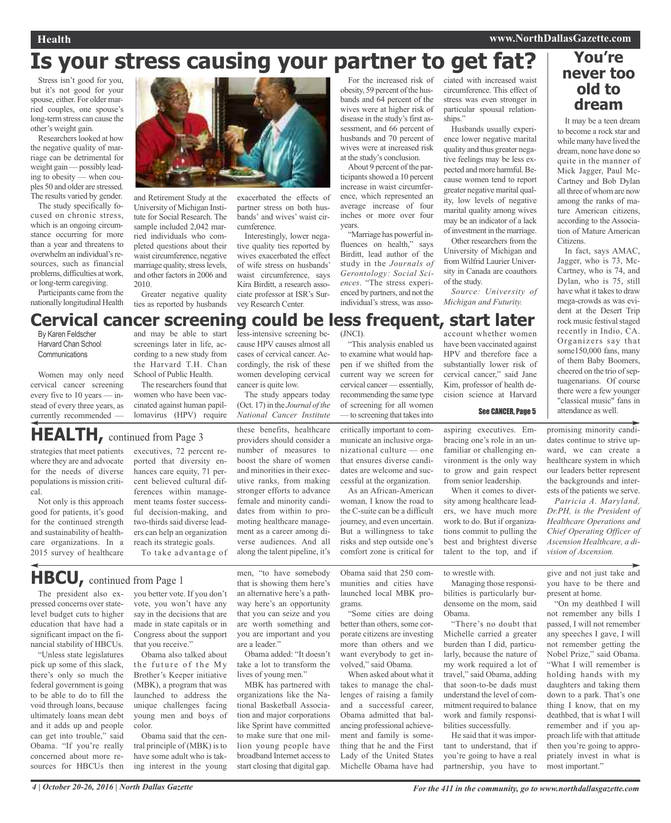### **Health www.NorthDallasGazette.com**

# **Is your stress causing your partner to get fat?**

Stress isn't good for you, but it's not good for your spouse, either. For older married couples, one spouse's long-term stress can cause the other's weight gain.

Researchers looked at how the negative quality of marriage can be detrimental for weight gain — possibly leading to obesity — when couples 50 and older are stressed. The results varied by gender.

The study specifically focused on chronic stress, which is an ongoing circumstance occurring for more than a year and threatens to overwhelm an individual's resources, such as financial problems, difficulties at work, or long-term caregiving.

Participants came from the nationally longitudinal Health



and Retirement Study at the University of Michigan Institute for Social Research. The sample included 2,042 married individuals who completed questions about their waist circumference, negative marriage quality, stress levels, and other factors in 2006 and 2010.

Greater negative quality ties as reported by husbands

#### partner stress on both husbands' and wives' waist circumference. Interestingly, lower nega-

tive quality ties reported by wives exacerbated the effect of wife stress on husbands' waist circumference, says Kira Birditt, a research associate professor at ISR's Survey Research Center.

For the increased risk of obesity, 59 percent of the husbands and 64 percent of the wives were at higher risk of disease in the study's first assessment, and 66 percent of husbands and 70 percent of wives were at increased risk at the study's conclusion.

About 9 percent of the participants showed a 10 percent increase in waist circumference, which represented an average increase of four inches or more over four years.

"Marriage has powerful influences on health," says Birditt, lead author of the study in the *Journals of Gerontology: Social Sciences*. "The stress experienced by partners, and not the individual's stress, was associated with increased waist circumference. This effect of stress was even stronger in particular spousal relationships."

Husbands usually experience lower negative marital quality and thus greater negative feelings may be less expected and more harmful. Because women tend to report greater negative marital quality, low levels of negative marital quality among wives may be an indicator of a lack ofinvestment in the marriage.

Other researchers from the University of Michigan and from Wilfrid Laurier University in Canada are coauthors of the study.

*Source: University of Michigan and Futurity.*

### **Cervical cancer screening could be less frequent, start later** less-intensive screening be-

cause HPV causes almost all cases of cervical cancer. Accordingly, the risk of these women developing cervical

cancer is quite low.

these benefits, healthcare providers should consider a number of measures to boost the share of women and minorities in their executive ranks, from making stronger efforts to advance female and minority candidates from within to promoting healthcare management as a career among diverse audiences. And all along the talent pipeline, it's

The study appears today (Oct. 17)in the *Journal of the National Cancer Institute*

By Karen Feldscher Harvard Chan School **Communications** 

Women may only need cervical cancer screening every five to 10 years — instead of every three years, as currently recommended -

and may be able to start screenings later in life, according to a new study from the Harvard T.H. Chan School of Public Health.

The researchers found that women who have been vaccinated against human papillomavirus (HPV) require

## **HEALTH,** continued from Page <sup>3</sup>

strategies that meet patients where they are and advocate for the needs of diverse populations is mission critical.

Not only is this approach good for patients, it's good for the continued strength and sustainability of healthcare organizations. In a 2015 survey of healthcare

executives, 72 percent reported that diversity enhances care equity, 71 percent believed cultural differences within management teams foster successful decision-making, and two-thirds said diverse leaders can help an organization reach its strategic goals.

To take advantage of

## **HBCU,** continued from Page <sup>1</sup>

The president also expressed concerns over statelevel budget cuts to higher education that have had a significant impact on the financial stability of HBCUs.

"Unless state legislatures pick up some of this slack, there's only so much the federal government is going to be able to do to fill the void through loans, because ultimately loans mean debt and it adds up and people can get into trouble," said Obama. "If you're really concerned about more resources for HBCUs then

you better vote. If you don't vote, you won't have any say in the decisions that are made in state capitals or in Congress about the support that you receive."

Obama also talked about the future of the My Brother's Keeper initiative (MBK), a program that was launched to address the unique challenges facing young men and boys of color.

Obama said that the central principle of (MBK) is to have some adult who is taking interest in the young

men, "to have somebody that is showing them here's an alternative here's a pathway here's an opportunity that you can seize and you are worth something and you are important and you are a leader."

Obama added: "It doesn't take a lot to transform the lives of young men."

MBK has partnered with organizations like the National Basketball Association and major corporations like Sprint have committed to make sure that one million young people have broadband Internet access to start closing that digital gap.

(JNCI).

"This analysis enabled us to examine what would happen if we shifted from the current way we screen for cervical cancer—essentially, recommending the same type of screening for all women - to screening that takes into

critically important to communicate an inclusive organizational culture — one that ensures diverse candidates are welcome and successful at the organization.

As an African-American woman, I know the road to the C-suite can be a difficult journey, and even uncertain. But a willingness to take risks and step outside one's comfort zone is critical for

Obama said that 250 communities and cities have launched local MBK programs.

"Some cities are doing better than others, some corporate citizens are investing more than others and we want everybody to get involved," said Obama.

When asked about what it takes to manage the challenges of raising a family and a successful career, Obama admitted that balancing professional achievement and family is something that he and the First Lady of the United States Michelle Obama have had

account whether women have been vaccinated against HPV and therefore face a substantially lower risk of cervical cancer," said Jane Kim, professor of health decision science at Harvard

### See CANCER, Page 5

aspiring executives. Embracing one's role in an unfamiliar or challenging environment is the only way to grow and gain respect from senior leadership.

When it comes to diversity among healthcare leaders, we have much more work to do. But if organizations commit to pulling the best and brightest diverse talent to the top, and if

to wrestle with.

Managing those responsibilities is particularly burdensome on the mom, said Obama.

"There's no doubt that Michelle carried a greater burden than I did, particularly, because the nature of my work required a lot of travel," said Obama, adding that soon-to-be dads must understand the level of commitment required to balance work and family responsibilities successfully.

He said that it was important to understand, that if you're going to have a real partnership, you have to

**You're never too old to dream**

It may be a teen dream to become a rock star and while many have lived the dream, none have done so quite in the manner of Mick Jagger, Paul Mc-Cartney and Bob Dylan all three of whom are now among the ranks of mature American citizens, according to the Association of Mature American Citizens.

In fact, says AMAC, Jagger, who is 73, Mc-Cartney, who is 74, and Dylan, who is 75, still have what it takes to draw mega-crowds as was evident at the Desert Trip rock music festival staged recently in Indio, CA. Organizers say that some150,000 fans, many of them Baby Boomers, cheered on the trio of septuagenarians. Of course there were a few younger "classical music" fans in attendance as well.

promising minority candidates continue to strive upward, we can create a healthcare system in which our leaders better represent the backgrounds and interests of the patients we serve.

*Patricia A. Maryland, Dr.PH, is the President of Healthcare Operations and Chief Operating Officer of Ascension Healthcare, a division of Ascension.*

give and not just take and you have to be there and present at home.

"On my deathbed I will not remember any bills I passed, I will not remember any speeches I gave, I will not remember getting the Nobel Prize," said Obama. "What I will remember is holding hands with my daughters and taking them down to a park. That's one thing I know, that on my deathbed, that is what I will remember and if you approach life with that attitude then you're going to appropriately invest in what is most important."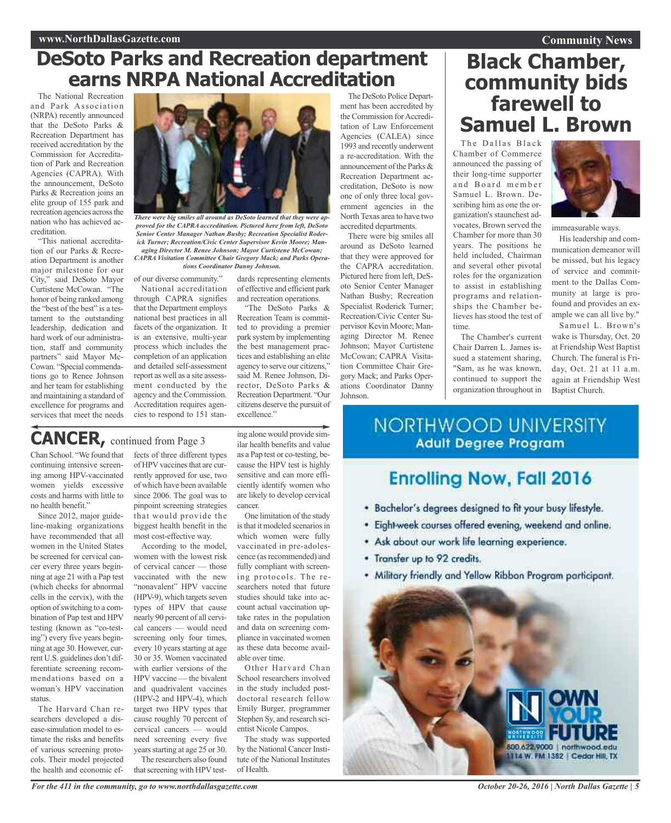## **DeSoto Parks and Recreation department earns NRPA National Accreditation**

The National Recreation and Park Association (NRPA) recently announced that the DeSoto Parks & Recreation Department has received accreditation by the Commission for Accreditation of Park and Recreation Agencies (CAPRA). With the announcement, DeSoto Parks & Recreation joins an elite group of 155 park and recreation agencies across the nation who has achieved accreditation.

"This national accreditation of our Parks & Recreation Department is another major milestone for our City," said DeSoto Mayor Curtistene McCowan. "The honor of being ranked among the "best of the best" is a testament to the outstanding leadership, dedication and hard work of our administration, staff and community partners" said Mayor Mc-Cowan. "Special commendations go to Renee Johnson and her team for establishing and maintaining a standard of excellence for programs and services that meet the needs



*There were big smiles all around as DeSoto learned that they were approved for the CAPRA accreditation. Pictured here from left, DeSoto Senior Center Manager Nathan Busby; Recreation Specialist Roderick Turner; Recreation/Civic Center Supervisor Kevin Moore; Man-*

*aging Director M. Renee Johnson; Mayor Curtistene McCowan; CAPRA Visitation Committee Chair Gregory Mack; and Parks Operations Coordinator Danny Johnson.*

of our diverse community."

National accreditation through CAPRA signifies that the Department employs national best practices in all facets of the organization. It is an extensive, multi-year process which includes the completion of an application and detailed self-assessment report as well as a site assessment conducted by the agency and the Commission. Accreditation requires agencies to respond to 151 stan-

dards representing elements of effective and efficient park and recreation operations.

"The DeSoto Parks & Recreation Team is committed to providing a premier park system by implementing the best management practices and establishing an elite agency to serve our citizens," said M. Renee Johnson, Director, DeSoto Parks & Recreation Department. "Our citizens deserve the pursuit of excellence."

## **CANCER,** continued from Page <sup>3</sup>

Chan School. "We found that continuing intensive screening among HPV-vaccinated women yields excessive costs and harms with little to no health benefit."

Since 2012, major guideline-making organizations have recommended that all women in the United States be screened for cervical cancer every three years beginning at age 21 with a Pap test (which checks for abnormal cells in the cervix), with the option ofswitching to a combination of Pap test and HPV testing (known as "co-testing") every five years beginning at age 30. However, current U.S. guidelines don't differentiate screening recommendations based on a woman's HPV vaccination status.

The Harvard Chan researchers developed a disease-simulation model to estimate the risks and benefits of various screening protocols. Their model projected the health and economic effects of three different types of HPV vaccines that are currently approved for use, two of which have been available since 2006. The goal was to pinpoint screening strategies that would provide the biggest health benefit in the most cost-effective way.

According to the model, women with the lowest risk of cervical cancer — those vaccinated with the new "nonavalent" HPV vaccine (HPV-9), which targets seven types of HPV that cause nearly 90 percent of all cervical cancers — would need screening only four times, every 10 years starting at age 30 or 35. Women vaccinated with earlier versions of the HPV vaccine — the bivalent and quadrivalent vaccines (HPV-2 and HPV-4), which target two HPV types that cause roughly 70 percent of cervical cancers — would need screening every five years starting at age 25 or 30. The researchers also found

that screening with HPV test-

ing alone would provide similar health benefits and value as a Pap test or co-testing, because the HPV test is highly sensitive and can more efficiently identify women who are likely to develop cervical cancer.

One limitation of the study is that it modeled scenarios in which women were fully vaccinated in pre-adolescence (as recommended) and fully compliant with screening protocols. The researchers noted that future studies should take into account actual vaccination uptake rates in the population and data on screening compliance in vaccinated women as these data become available over time.

Other Harvard Chan School researchers involved in the study included postdoctoral research fellow Emily Burger, programmer Stephen Sy, and research scientist Nicole Campos.

The study was supported by the National Cancer Institute of the National Institutes of Health.

The DeSoto Police Department has been accredited by the Commission for Accreditation of Law Enforcement Agencies (CALEA) since 1993 and recently underwent a re-accreditation. With the announcement of the Parks  $&$ Recreation Department accreditation, DeSoto is now one of only three local government agencies in the North Texas area to have two accredited departments.

There were big smiles all around as DeSoto learned that they were approved for the CAPRA accreditation. Pictured here from left, DeSoto Senior Center Manager Nathan Busby; Recreation Specialist Roderick Turner; Recreation/Civic Center Supervisor Kevin Moore; Managing Director M. Renee Johnson; Mayor Curtistene McCowan; CAPRA Visitation Committee Chair Gregory Mack; and Parks Operations Coordinator Danny Johnson.

# **Black Chamber, community bids farewell to Samuel L. Brown**

The Dallas Black Chamber of Commerce announced the passing of their long-time supporter and Board member Samuel L. Brown. Describing him as one the organization's staunchest advocates, Brown served the Chamber for more than 30 years. The positions he held included, Chairman and several other pivotal roles for the organization to assist in establishing programs and relationships the Chamber believes has stood the test of time.

The Chamber's current Chair Darren L. James issued a statement sharing, "Sam, as he was known, continued to support the organization throughout in



immeasurable ways.

His leadership and communication demeanor will be missed, but his legacy of service and commitment to the Dallas Community at large is profound and provides an example we can all live by."

Samuel L. Brown's wake is Thursday, Oct. 20 at Friendship West Baptist Church. The funeral is Friday, Oct. 21 at 11 a.m. again at Friendship West Baptist Church.

## NORTHWOOD UNIVERSITY **Adult Degree Program**

## **Enrolling Now, Fall 2016**

- . Bachelor's degrees designed to fit your busy lifestyle.
- · Eight-week courses offered evening, weekend and online.
- Ask about our work life learning experience.
- . Transfer up to 92 credits.
- . Military friendly and Yellow Ribbon Program participant.



*October 20-26, 2016 | North Dallas Gazette | 5*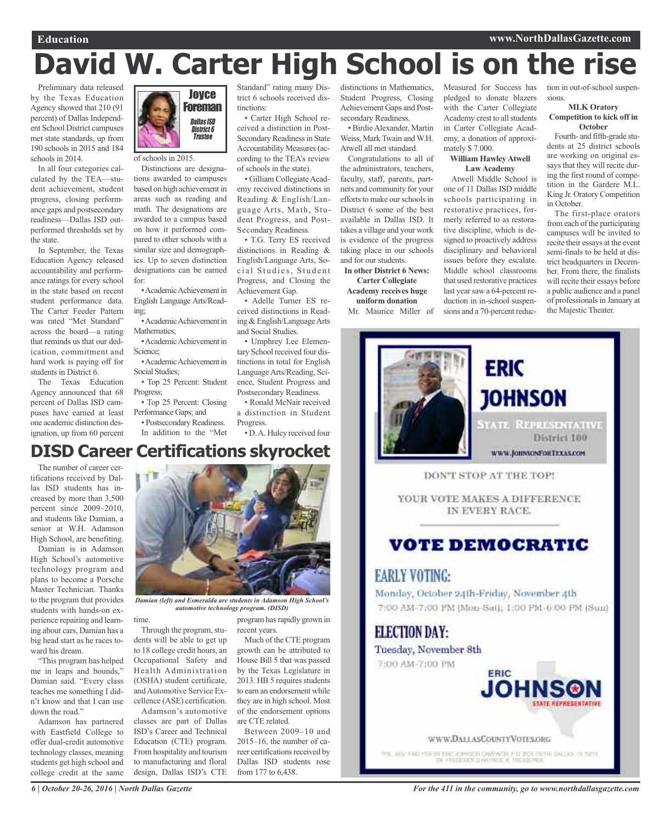# **David W. Carter High School is on the rise**

Preliminary data released by the Texas Education Agency showed that 210 (91 percent) of Dallas Independent School District campuses met state standards, up from 190 schools in 2015 and 184 schools in 2014.

In all four categories calculated by the TEA—student achievement, student progress, closing performance gaps and postsecondary readiness—Dallas ISD outperformed thresholds set by the state.

In September, the Texas Education Agency released accountability and performance ratings for every school in the state based on recent student performance data. The Carter Feeder Pattern was rated "Met Standard" across the board—a rating that reminds us that our dedication, commitment and hard work is paying off for students in District 6.

The Texas Education Agency announced that 68 percent of Dallas ISD campuses have earned at least one academic distinction designation, up from 60 percent



### of schools in 2015.

Distinctions are designations awarded to campuses based on high achievement in areas such as reading and math. The designations are awarded to a campus based on how it performed compared to other schools with a similar size and demographics. Up to seven distinction designations can be earned for:

•AcademicAchievement in English Language Arts/Reading;

•AcademicAchievement in Mathematics:

•AcademicAchievement in Science;

•AcademicAchievement in Social Studies;

• Top 25 Percent: Student Progress;

• Top 25 Percent: Closing Performance Gaps; and

• Postsecondary Readiness. In addition to the "Met Standard" rating many District 6 schools received distinctions:

• Carter High School received a distinction in Post-Secondary Readiness in State Accountability Measures(according to the TEA's review of schools in the state).

• Gilliam Collegiate Academy received distinctions in Reading & English/Language Arts, Math, Student Progress, and Post-Secondary Readiness.

• T.G. Terry ES received distinctions in Reading & English/Language Arts, Social Studies, Student Progress, and Closing the Achievement Gap.

• Adelle Turner ES received distinctions in Reading & English/LanguageArts and Social Studies.

• Umphrey Lee Elementary School received four distinctions in total for English LanguageArts/Reading, Science, Student Progress and Postsecondary Readiness.

• Ronald McNair received a distinction in Student Progress.

• D.A. Hulcy received four

distinctions in Mathematics, Student Progress, Closing Achievement Gaps and Postsecondary Readiness.

> • BirdieAlexander, Martin Weiss, Mark Twain and W.H. Atwell all met standard.

Congratulations to all of the administrators, teachers, faculty, staff, parents, partners and community for your efforts to make our schools in District 6 some of the best available in Dallas ISD. It takes a village and your work is evidence of the progress taking place in our schools and for our students.

**In other District 6 News: Carter Collegiate**

**Academy receives huge uniform donation**

Mr. Maurice Miller of

Measured for Success has pledged to donate blazers with the Carter Collegiate Academy crest to all students in Carter Collegiate Academy, a donation of approximately \$ 7.000.

#### **William Hawley Atwell Law Academy**

Atwell Middle School is one of 11 Dallas ISD middle schools participating in restorative practices, formerly referred to as restorative discipline, which is designed to proactively address disciplinary and behavioral issues before they escalate. Middle school classrooms that used restorative practices last year saw a 64-percent reduction in in-school suspensions and a 70-percent reduc-

tion in out-of-school suspensions.

#### **MLK Oratory Competition to kick off in October**

Fourth- and fifth-grade students at 25 district schools are working on original essays that they will recite during the first round of competition in the Gardere M.L. King Jr. Oratory Competition in October.

The first-place orators from each of the participating campuses will be invited to recite their essays at the event semi-finals to be held at district headquarters in December. From there, the finalists will recite their essays before a public audience and a panel of professionals in January at the Majestic Theater.



Tuesday, November 8th

7:00 AM-7:00 PM



WWW.DALLASCOUNTYVOTES.ORG

POLJADV, FAID HOR BY EIRC ADMINISTRATIVE OD DOCTION ORLLAST DE BIEHE

## **DISD Career Certifications skyrocket**

The number of career certifications received by Dallas ISD students has increased by more than 3,500 percent since 2009–2010, and students like Damian, a senior at W.H. Adamson High School, are benefiting.

Damian is in Adamson High School's automotive technology program and plans to become a Porsche Master Technician. Thanks to the program that provides students with hands-on experience repairing and learning about cars, Damian has a big head start as he races toward his dream.

"This program has helped me in leaps and bounds," Damian said. "Every class teaches me something I didn't know and that I can use down the road."

Adamson has partnered with Eastfield College to offer dual-credit automotive technology classes, meaning students get high school and college credit at the same



*Damian (left) and Esmeralda are students in Adamson High School's automotive technology program. (DISD)*

> program has rapidly grown in recent years.

are CTE related.

from 177 to 6,438.

Between 2009–10 and 2015–16, the number of career certifications received by Dallas ISD students rose

Through the program, students will be able to get up to 18 college credit hours, an Occupational Safety and Health Administration (OSHA) student certificate, andAutomotive Service Excellence (ASE) certification. Adamson's automotive Much of the CTE program growth can be attributed to House Bill 5 that was passed by the Texas Legislature in 2013. HB 5 requires students to earn an endorsement while they are in high school. Most of the endorsement options

classes are part of Dallas ISD's Career and Technical Education (CTE) program. From hospitality and tourism to manufacturing and floral design, Dallas ISD's CTE

time.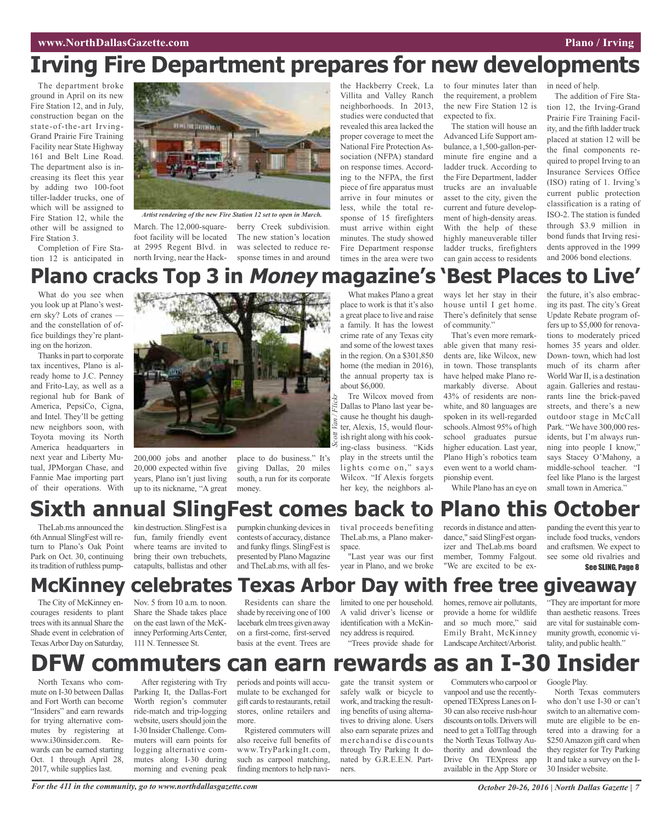# **Irving Fire Department prepares for new developments**

The department broke ground in April on its new Fire Station 12, and in July, construction began on the state-of-the-art Irving-Grand Prairie Fire Training Facility near State Highway 161 and Belt Line Road. The department also is increasing its fleet this year by adding two 100-foot tiller-ladder trucks, one of which will be assigned to Fire Station 12, while the other will be assigned to Fire Station 3.

MATHE SERVICE OF

*Artist rendering of the new Fire Station 12 set to open in March.*

March. The 12,000-squarefoot facility will be located at 2995 Regent Blvd. in north Irving, near the Hack-

berry Creek subdivision. The new station's location was selected to reduce response times in and around Villita and Valley Ranch neighborhoods. In 2013, studies were conducted that revealed this area lacked the proper coverage to meet the National Fire Protection Association (NFPA) standard on response times. According to the NFPA, the first piece of fire apparatus must arrive in four minutes or less, while the total response of 15 firefighters must arrive within eight minutes. The study showed Fire Department response times in the area were two

place to work is that it's also a great place to live and raise a family. It has the lowest

the Hackberry Creek, La to four minutes later than the requirement, a problem the new Fire Station 12 is expected to fix.

> The station will house an Advanced Life Support ambulance, a 1,500-gallon-perminute fire engine and a ladder truck. According to the Fire Department, ladder trucks are an invaluable asset to the city, given the current and future development of high-density areas. With the help of these highly maneuverable tiller ladder trucks, firefighters can gain access to residents

in need of help.

The addition of Fire Station 12, the Irving-Grand Prairie Fire Training Facility, and the fifth ladder truck placed at station 12 will be the final components required to propel Irving to an Insurance Services Office (ISO) rating of 1. Irving's current public protection classification is a rating of ISO-2. The station is funded through \$3.9 million in bond funds that Irving residents approved in the 1999 and 2006 bond elections.

### **Plano cracks Top 3 in Money magazine's 'Best Places to Live'** What makes Plano a great

What do you see when you look up at Plano's western sky? Lots of cranes and the constellation of office buildings they're planting on the horizon.

Completion of Fire Station 12 is anticipated in

Thanks in part to corporate tax incentives, Plano is already home to J.C. Penney and Frito-Lay, as well as a regional hub for Bank of America, PepsiCo, Cigna, and Intel. They'll be getting new neighbors soon, with Toyota moving its North America headquarters in next year and Liberty Mutual, JPMorgan Chase, and Fannie Mae importing part of their operations. With



200,000 jobs and another 20,000 expected within five years, Plano isn't just living up to its nickname, "A great

crime rate of any Texas city and some of the lowest taxes in the region. On a \$301,850 home (the median in 2016), the annual property tax is about \$6,000. Tre Wilcox moved from Dallas to Plano last year be-*Scott Van / Flickr*

cause he thought his daughter, Alexis, 15, would flourish right along with his cooking-class business. "Kids play in the streets until the lights come on," says Wilcox. "If Alexis forgets her key, the neighbors always let her stay in their house until I get home. There's definitely that sense of community."

That's even more remarkable given that many residents are, like Wilcox, new in town. Those transplants have helped make Plano remarkably diverse. About 43% of residents are nonwhite, and 80 languages are spoken in its well-regarded schools.Almost 95% of high school graduates pursue higher education. Last year, Plano High's robotics team even went to a world championship event.

the future, it's also embracing its past. The city's Great Update Rebate program offers up to \$5,000 for renovations to moderately priced homes 35 years and older. Down- town, which had lost much of its charm after World War II, is a destination again. Galleries and restaurants line the brick-paved streets, and there's a new outdoor stage in McCall Park. "We have 300,000 residents, but I'm always running into people I know," says Stacey O'Mahony, a middle-school teacher. "I feel like Plano is the largest small town in America."

# **Sixth annual SlingFest comes back to Plano this October**

TheLab.ms announced the 6thAnnual SlingFest will return to Plano's Oak Point Park on Oct. 30, continuing its tradition of ruthless pump-

kin destruction. SlingFest is a fun, family friendly event where teams are invited to bring their own trebuchets, catapults, ballistas and other

pumpkin chunking devicesin contests of accuracy, distance and funky flings. SlingFest is presented by Plano Magazine and TheLab.ms, with all fes-

place to do business." It's giving Dallas, 20 miles south, a run for its corporate

money.

tival proceeds benefiting TheLab.ms, a Plano makerspace.

year in Plano, and we broke

records in distance and attendance," said SlingFest organizer and TheLab.ms board member, Tommy Falgout. "We are excited to be ex-

While Plano has an eye on

panding the event this year to include food trucks, vendors and craftsmen. We expect to see some old rivalries and See SLING, Page 8

### **McKinney celebrates Texas Arbor Day with free tree giveaway** limited to one per household.

The City of McKinney encourages residents to plant trees with its annual Share the Shade event in celebration of TexasArbor Day on Saturday,

Nov. 5 from 10 a.m. to noon. Share the Shade takes place on the east lawn of the McKinney Performing Arts Center, 111 N. Tennessee St.

Residents can share the shade by receiving one of 100 lacebark elm trees given away on a first-come, first-served basis at the event. Trees are

"Last year was our first

A valid driver's license or identification with a McKinney address is required.

"Trees provide shade for

homes, remove air pollutants, provide a home for wildlife and so much more," said Emily Braht, McKinney

"They are important for more than aesthetic reasons. Trees are vital for sustainable com-

munity growth, economic vitality, and public health."

# **DFW commuters can earn rewards as an I-30 Insider**

North Texans who commute on I-30 between Dallas and Fort Worth can become "Insiders" and earn rewards for trying alternative commutes by registering at www.i30insider.com. Rewards can be earned starting Oct. 1 through April 28, 2017, while supplies last.

After registering with Try Parking It, the Dallas-Fort Worth region's commuter ride-match and trip-logging website, users should join the I-30 InsiderChallenge.Commuters will earn points for logging alternative commutes along I-30 during morning and evening peak

periods and points will accumulate to be exchanged for gift cards to restaurants, retail stores, online retailers and more.

Rgistered commuters will also receive full benefits of www.TryParkingIt.com, such as carpool matching, finding mentors to help navigate the transit system or safely walk or bicycle to work, and tracking the resulting benefits of using alternatives to driving alone. Users also earn separate prizes and merchandise discounts through Try Parking It donated by G.R.E.E.N. Partners.

Landscape Architect/Arborist.

Commuters who carpool or vanpool and use the recentlyopened TEXpress Lanes on I-30 can also receive rush-hour discounts on tolls.Driverswill need to get a TollTag through the North Texas Tollway Authority and download the Drive On TEXpress app available in the App Store or

Google Play.

North Texas commuters who don't use I-30 or can't switch to an alternative commute are eligible to be entered into a drawing for a \$250Amazon gift card when they register for Try Parking It and take a survey on the I-30 Insider website.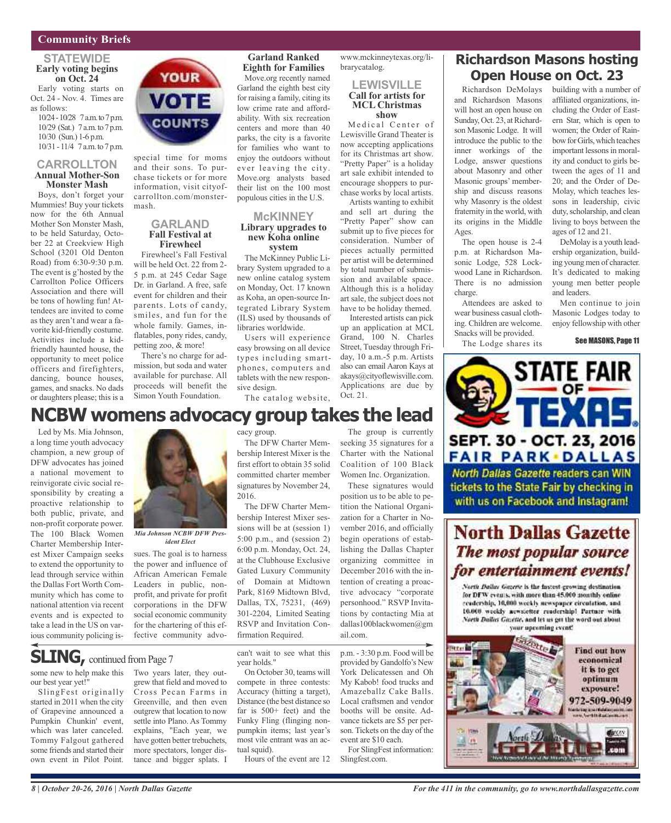### **Community Briefs**

### **STATEWIDE Early voting begins on Oct. 24**

Early voting starts on Oct. 24 - Nov. 4. Times are as follows:

10/24-10/28 7a.m.to7p.m. 10/29 (Sat.) 7a.m.to7p.m. 10/30 (Sun.) 1-6 p.m. 10/31-11/4 7a.m.to7p.m.

#### **CARROLLTON Annual Mother-Son Monster Mash**

Boys, don't forget your Mummies! Buy your tickets now for the 6th Annual Mother Son Monster Mash, to be held Saturday, October 22 at Creekview High School (3201 Old Denton Road) from 6:30-9:30 p.m. The event is g'hosted by the Carrollton Police Officers Association and there will be tons of howling fun! Attendees are invited to come as they aren't and wear a favorite kid-friendly costume. Activities include a kidfriendly haunted house, the opportunity to meet police officers and firefighters, dancing, bounce houses, games, and snacks. No dads or daughters please; this is a



special time for moms and their sons. To purchase tickets or for more information, visit cityofcarrollton.com/monstermash.

### **GARLAND Fall Festival at Firewheel**

Firewheel's Fall Festival will be held Oct. 22 from 2- 5 p.m. at 245 Cedar Sage Dr. in Garland. A free, safe event for children and their parents. Lots of candy, smiles, and fun for the whole family. Games, inflatables, pony rides, candy, petting zoo, & more!

There's no charge for admission, but soda and water available for purchase. All proceeds will benefit the Simon Youth Foundation.

**Garland Ranked Eighth for Families** Move.org recently named Garland the eighth best city for raising a family, citing its low crime rate and affordability. With six recreation centers and more than 40 parks, the city is a favorite for families who want to enjoy the outdoors without ever leaving the city. Move.org analysts based their list on the 100 most populous cities in the U.S.

#### **McKINNEY Library upgrades to new Koha online system**

The McKinney Public Library System upgraded to a new online catalog system on Monday, Oct. 17 known as Koha, an open-source Integrated Library System (ILS) used by thousands of libraries worldwide.

Users will experience easy browsing on all device types including smartphones, computers and tablets with the new responsive design.

The catalog website,

## **NCBW womens advocacy group takes the lead**

Led by Ms. Mia Johnson, a long time youth advocacy champion, a new group of DFW advocates has joined a national movement to reinvigorate civic social responsibility by creating a proactive relationship to both public, private, and non-profit corporate power. The 100 Black Women Charter Membership Interest Mixer Campaign seeks to extend the opportunity to lead through service within the Dallas Fort Worth Community which has come to national attention via recent events and is expected to take a lead in the US on various community policing is-

sues. The goal is to harness the power and influence of *Mia Johnson NCBW DFW President Elect*

African American Female Leaders in public, nonprofit, and private for profit corporations in the DFW social economic community for the chartering of this effective community advo-

**SLING**, continued from Page 7

some new to help make this our best year yet!"

SlingFest originally started in 2011 when the city of Grapevine announced a Pumpkin Chunkin' event, which was later canceled. Tommy Falgout gathered some friends and started their own event in Pilot Point.

Two years later, they outgrew that field and moved to Cross Pecan Farms in Greenville, and then even outgrew that location to now settle into Plano. As Tommy explains, "Each year, we have gotten better trebuchets, more spectators, longer distance and bigger splats. I

cacy group.

The DFW Charter Membership Interest Mixer is the first effort to obtain 35 solid committed charter member signatures by November 24, 2016.

The DFW Charter Membership Interest Mixer sessions will be at (session 1) 5:00 p.m., and (session 2) 6:00 p.m. Monday, Oct. 24, at the Clubhouse Exclusive Gated Luxury Community of Domain at Midtown Park, 8169 Midtown Blvd, Dallas, TX, 75231, (469) 301-2204, Limited Seating RSVP and Invitation Confirmation Required.

can't wait to see what this year holds."

ail.com.

p.m. - 3:30 p.m. Food will be provided by Gandolfo's New York Delicatessen and Oh My Kabob! food trucks and Amazeballz Cake Balls. Local craftsmen and vendor booths will be onsite. Advance tickets are \$5 per person. Tickets on the day of the

event are \$10 each.

Slingfest.com.

For SlingFest information:

On October 30, teams will compete in three contests: Accuracy (hitting a target), Distance (the best distance so far is 500+ feet) and the Funky Fling (flinging nonpumpkin items; last year's most vile entrant was an actual squid).

Hours of the event are 12

www.mckinneytexas.org/librarycatalog.

#### **LEWISVILLE Call for artists for MCL Christmas show**

Medical Center of Lewisville Grand Theater is now accepting applications for its Christmas art show. "Pretty Paper" is a holiday art sale exhibit intended to encourage shoppers to purchase works by local artists. Artists wanting to exhibit

and sell art during the "Pretty Paper" show can submit up to five pieces for consideration. Number of pieces actually permitted per artist will be determined by total number of submission and available space. Although this is a holiday art sale, the subject does not have to be holiday themed. Interested artists can pick

up an application at MCL Grand, 100 N. Charles Street, Tuesday through Friday, 10 a.m.-5 p.m. Artists also can email Aaron Kays at akays@cityoflewisville.com. Applications are due by Oct. 21.

The group is currently seeking 35 signatures for a Charter with the National Coalition of 100 Black Women Inc. Organization. These signatures would position us to be able to petition the National Organization for a Charter in November 2016, and officially begin operations of establishing the Dallas Chapter organizing committee in December 2016 with the intention of creating a proactive advocacy "corporate personhood." RSVP Invitations by contacting Mia at dallas100blackwomen@gm

### **Richardson Masons hosting Open House on Oct. 23**

Richardson DeMolays and Richardson Masons will host an open house on Sunday, Oct. 23, at Richardson Masonic Lodge. It will introduce the public to the inner workings of the Lodge, answer questions about Masonry and other Masonic groups' membership and discuss reasons why Masonry is the oldest fraternity in the world, with its origins in the Middle Ages.

The open house is 2-4 p.m. at Richardson Masonic Lodge, 528 Lockwood Lane in Richardson. There is no admission charge.

Attendees are asked to wear business casual clothing. Children are welcome. Snacks will be provided. The Lodge shares its

building with a number of affiliated organizations, including the Order of Eastern Star, which is open to women; the Order of Rainbow for Girls, which teaches important lessons in morality and conduct to girls between the ages of 11 and 20; and the Order of De-Molay, which teaches lessons in leadership, civic duty, scholarship, and clean living to boys between the ages of 12 and 21.

DeMolay is a youth leadership organization, building young men of character. It's dedicated to making young men better people and leaders.

Men continue to join Masonic Lodges today to enjoy fellowship with other

### See MASONS, Page 11





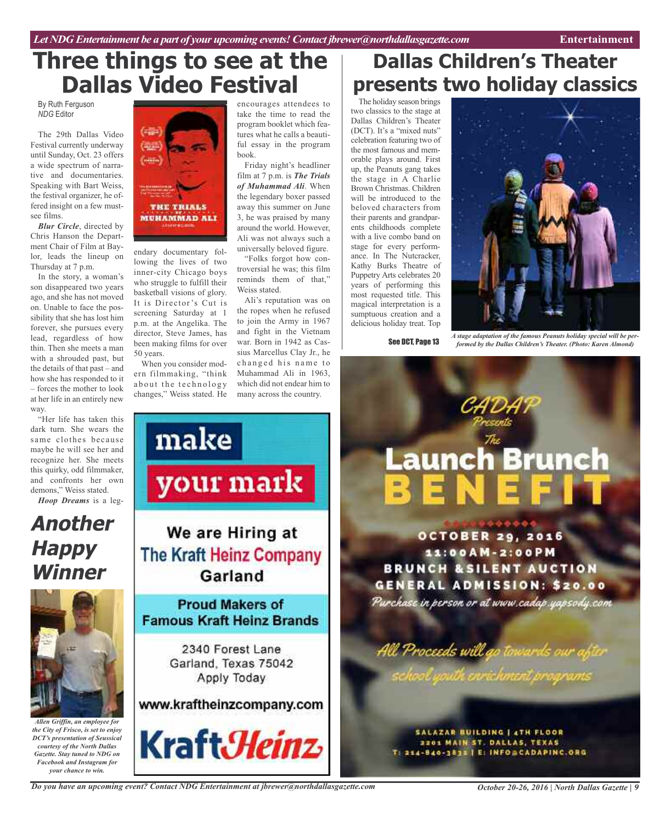# **Three things to see at the Dallas Video Festival**

By Ruth Ferguson *NDG* Editor

The 29th Dallas Video Festival currently underway until Sunday, Oct. 23 offers a wide spectrum of narrative and documentaries. Speaking with Bart Weiss, the festival organizer, he offered insight on a few mustsee films.

*Blur Circle*, directed by Chris Hanson the Department Chair of Film at Baylor, leads the lineup on Thursday at 7 p.m.

In the story, a woman's son disappeared two years ago, and she has not moved on. Unable to face the possibility that she has lost him forever, she pursues every lead, regardless of how thin. Then she meets a man with a shrouded past, but the details of that past – and how she has responded to it – forces the mother to look at her life in an entirely new way.

"Her life has taken this dark turn. She wears the same clothes because maybe he will see her and recognize her. She meets this quirky, odd filmmaker, and confronts her own demons," Weiss stated.

*Hoop Dreams* is a leg-

# **Another Happy Winner**



*Allen Griffin, an employee for the City of Frisco, is set to enjoy DCT's presentation of Seussical courtesy of the North Dallas Gazette. Stay tuned to NDG on Facebook and Instagram for your chance to win.*



endary documentary following the lives of two inner-city Chicago boys who struggle to fulfill their basketball visions of glory. It is Director's Cut is screening Saturday at 1 p.m. at the Angelika. The director, Steve James, has been making films for over 50 years.

When you consider modern filmmaking, "think about the technology

encourages attendees to take the time to read the program booklet which features what he calls a beautiful essay in the program book.

Friday night's headliner film at 7 p.m. is *The Trials of Muhammad Ali*. When the legendary boxer passed away this summer on June 3, he was praised by many around the world. However, Ali was not always such a universally beloved figure.

"Folks forgot how controversial he was; this film reminds them of that," Weiss stated.

Ali's reputation was on the ropes when he refused to join the Army in 1967 and fight in the Vietnam war. Born in 1942 as Cassius Marcellus Clay Jr., he changed his name to Muhammad Ali in 1963, which did not endear him to

# **Dallas Children's Theater presents two holiday classics**

The holiday season brings two classics to the stage at Dallas Children's Theater (DCT). It's a "mixed nuts" celebration featuring two of the most famous and memorable plays around. First up, the Peanuts gang takes the stage in A Charlie Brown Christmas. Children will be introduced to the beloved characters from their parents and grandparents childhoods complete with a live combo band on stage for every performance. In The Nutcracker, Kathy Burks Theatre of Puppetry Arts celebrates 20 years of performing this most requested title. This magical interpretation is a sumptuous creation and a delicious holiday treat. Top



*A stage adaptation of the famous Peanuts holiday special will be per-*See DCT *formed by the Dallas Children's Theater. (Photo: Karen Almond)* , Page 13



Launch Brunch

**OCTOBER 29, 2016** 11:00AM-2:00PM **BRUNCH &SILENT AUCTION GENERAL ADMISSION: \$20.00** Purchase in person or at www.cadap.yapsody.com

All Proceeds will go towar

SALAZAR BUILDING | 4TH FLOOR 2201 MAIN ST. DALLAS, TEXAS T: 214-940-3831 | E: INFORCADAPINC.ORG

*Do you have an upcoming event? Contact NDG Entertainment at jbrewer@northdallasgazette.com*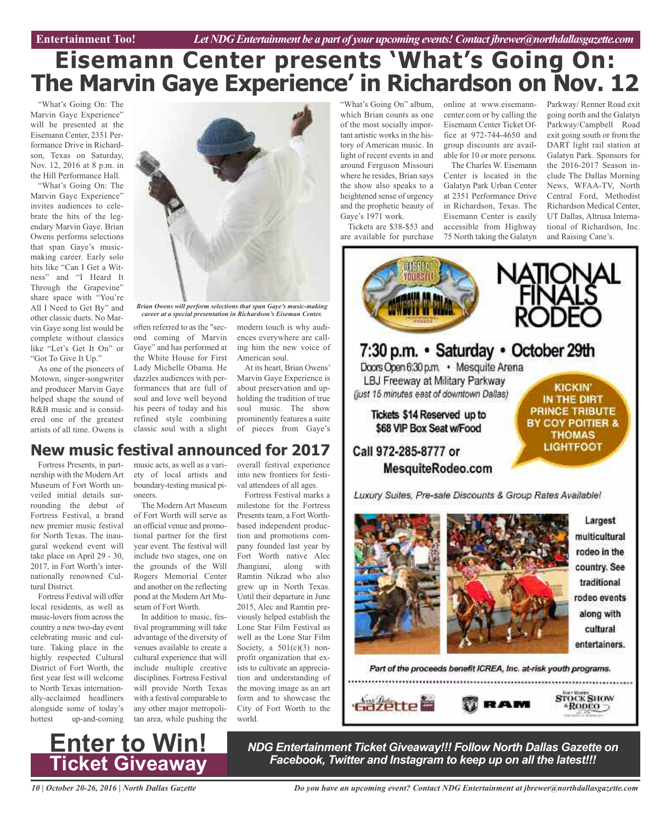# **Eisemann Center presents 'What's Going On: The Marvin Gaye Experience' in Richardson on Nov. 12**

"What's Going On: The Marvin Gaye Experience" will be presented at the Eisemann Center, 2351 Performance Drive in Richardson, Texas on Saturday, Nov. 12, 2016 at 8 p.m. in the Hill Performance Hall.

"What's Going On: The Marvin Gaye Experience" invites audiences to celebrate the hits of the legendary Marvin Gaye. Brian Owens performs selections that span Gaye's musicmaking career. Early solo hits like "Can I Get a Witness" and "I Heard It Through the Grapevine" share space with "You're All I Need to Get By" and other classic duets. No Marvin Gaye song list would be complete without classics like "Let's Get It On" or "Got To Give It Up."

As one of the pioneers of Motown, singer-songwriter and producer Marvin Gaye helped shape the sound of R&B music and is considered one of the greatest artists of all time. Owens is



*Brian Owens will perform selections that span Gaye's music-making career at a special presentation in Richardson's Eiseman Center.*

often referred to as the "second coming of Marvin Gaye" and has performed at the White House for First Lady Michelle Obama. He dazzles audiences with performances that are full of soul and love well beyond his peers of today and his refined style combining classic soul with a slight

modern touch is why audiences everywhere are calling him the new voice of American soul.

At its heart, Brian Owens' Marvin Gaye Experience is about preservation and upholding the tradition of true soul music. The show prominently features a suite of pieces from Gaye's

### **New music festival announced for 2017**

Fortress Presents, in partnership with the ModernArt Museum of Fort Worth unveiled initial details surrounding the debut of Fortress Festival, a brand new premier music festival for North Texas. The inaugural weekend event will take place on April 29 - 30, 2017, in Fort Worth's internationally renowned Cultural District.

Fortress Festival will offer local residents, as well as music-lovers from across the country a new two-day event celebrating music and culture. Taking place in the highly respected Cultural District of Fort Worth, the first year fest will welcome to North Texas internationally-acclaimed headliners alongside some of today's hottest up-and-coming

music acts, as well as a variety of local artists and boundary-testing musical pioneers.

The Modern Art Museum of Fort Worth will serve as an official venue and promotional partner for the first year event. The festival will include two stages, one on the grounds of the Will Rogers Memorial Center and another on the reflecting pond at the Modern Art Museum of Fort Worth.

In addition to music, festival programming will take advantage of the diversity of venues available to create a cultural experience that will include multiple creative disciplines. Fortress Festival will provide North Texas with a festival comparable to any other major metropolitan area, while pushing the

overall festival experience into new frontiers for festival attendees of all ages.

Fortress Festival marks a milestone for the Fortress Presents team, a Fort Worthbased independent production and promotions company founded last year by Fort Worth native Alec Jhangiani, along with Ramtin Nikzad who also grew up in North Texas. Until their departure in June 2015, Alec and Ramtin previously helped establish the Lone Star Film Festival as well as the Lone Star Film Society, a  $501(c)(3)$  nonprofit organization that exists to cultivate an appreciation and understanding of the moving image as an art form and to showcase the City of Fort Worth to the world.

"What's Going On" album, which Brian counts as one of the most socially important artistic works in the history of American music. In light of recent events in and around Ferguson Missouri where he resides, Brian says the show also speaks to a heightened sense of urgency and the prophetic beauty of Gaye's 1971 work.

Tickets are \$38-\$53 and are available for purchase

online at www.eisemanncenter.com or by calling the Eisemann Center Ticket Office at 972-744-4650 and group discounts are available for 10 or more persons.

The Charles W. Eisemann Center is located in the Galatyn Park Urban Center at 2351 Performance Drive in Richardson, Texas. The Eisemann Center is easily accessible from Highway 75 North taking the Galatyn

Parkway/ Renner Road exit going north and the Galatyn Parkway/Campbell Road exit going south or from the DART light rail station at Galatyn Park. Sponsors for the 2016-2017 Season include The Dallas Morning News, WFAA-TV, North Central Ford, Methodist Richardson Medical Center, UT Dallas, Altrusa International of Richardson, Inc. and Raising Cane's.





*NDG Entertainment Ticket Giveaway!!! Follow North Dallas Gazette on Facebook, Twitter and Instagram to keep up on all the latest!!!*

*Do you have an upcoming event? Contact NDG Entertainment at jbrewer@northdallasgazette.com*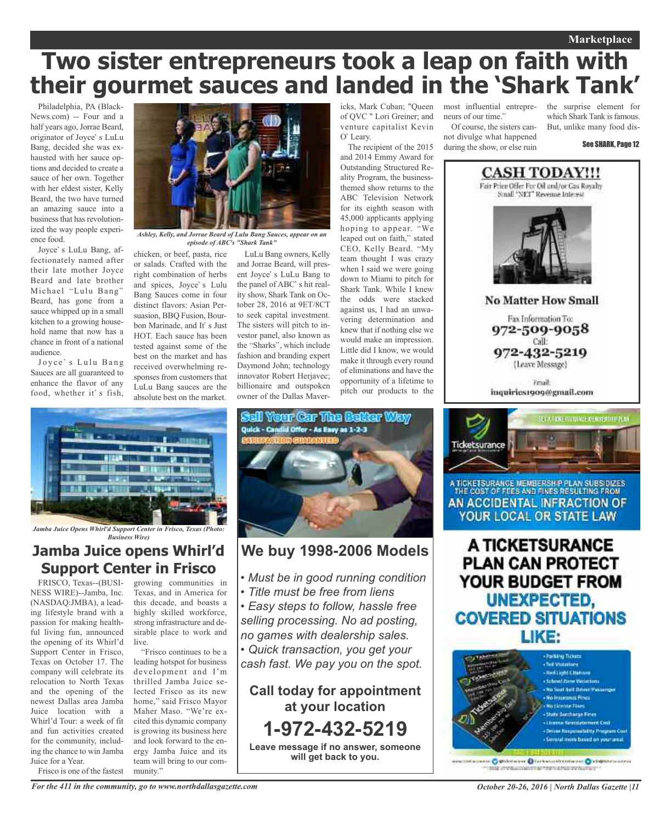### **Marketplace**

# **Two sister entrepreneurs took a leap on faith with their gourmet sauces and landed in the 'Shark Tank'**

Philadelphia, PA (Black-News.com) -- Four and a half years ago, Jorrae Beard, originator of Joyce's LuLu Bang, decided she was exhausted with her sauce options and decided to create a sauce of her own. Together with her eldest sister, Kelly Beard, the two have turned an amazing sauce into a business that has revolutionized the way people experience food.

Joyce's LuLu Bang, affectionately named after their late mother Joyce Beard and late brother Michael "Lulu Bang" Beard, has gone from a sauce whipped up in a small kitchen to a growing household name that now has a chance in front of a national audience.

Joyce's Lulu Bang Sauces are all guaranteed to enhance the flavor of any food, whether it's fish,



*Ashley, Kelly, and Jorrae Beard of Lulu Bang Sauces, appear on an episode of ABC's "Shark Tank"*

chicken, or beef, pasta, rice or salads. Crafted with the right combination of herbs and spices, Joyce's Lulu Bang Sauces come in four distinct flavors: Asian Persuasion, BBQ Fusion, Bourbon Marinade, and It's Just HOT. Each sauce has been tested against some of the best on the market and has received overwhelming responses from customers that LuLu Bang sauces are the absolute best on the market.

LuLu Bang owners, Kelly and Jorrae Beard, will present Joyce's LuLu Bang to the panel of ABC's hit reality show, Shark Tank on October 28, 2016 at 9ET/8CT to seek capital investment. The sisters will pitch to investor panel, also known as the "Sharks", which include fashion and branding expert Daymond John; technology innovator Robert Herjavec; billionaire and outspoken owner of the Dallas Maverof QVC " Lori Greiner; and venture capitalist Kevin O' Leary.

The recipient of the 2015 and 2014 Emmy Award for Outstanding Structured Reality Program, the businessthemed show returns to the ABC Television Network for its eighth season with 45,000 applicants applying hoping to appear. "We leaped out on faith," stated CEO, Kelly Beard. "My team thought I was crazy when I said we were going down to Miami to pitch for Shark Tank. While I knew the odds were stacked against us, I had an unwavering determination and knew that if nothing else we would make an impression. Little did I know, we would make it through every round of eliminations and have the opportunity of a lifetime to pitch our products to the

icks, Mark Cuban; "Queen most influential entrepreneurs of our time. Of course, the sisters can-

not divulge what happened during the show, or else ruin the surprise element for which Shark Tank is famous. But, unlike many food dis-

See SHARK, Page 12



**No Matter How Small** 

Fax Information To: 972-509-9058 Call: 972-432-5219 (Leave Message)

Friail inquiries1909@gmail.com



*Jamba Juice Opens Whirl'd Support Center in Frisco, Texas (Photo: Business Wire)*

### **Jamba Juice opens Whirl'd Support Center in Frisco**

FRISCO, Texas--(BUSI-NESS WIRE)--Jamba, Inc. (NASDAQ:JMBA), a leading lifestyle brand with a passion for making healthful living fun, announced the opening of its Whirl'd Support Center in Frisco, Texas on October 17. The company will celebrate its relocation to North Texas and the opening of the newest Dallas area Jamba Juice location with a Whirl'd Tour: a week of fit and fun activities created for the community, including the chance to win Jamba Juice for a Year.

Frisco is one of the fastest

growing communities in Texas, and in America for this decade, and boasts a highly skilled workforce, strong infrastructure and desirable place to work and live.

"Frisco continues to be a leading hotspot for business development and I'm thrilled Jamba Juice selected Frisco as its new home," said Frisco Mayor Maher Maso. "We're excited this dynamic company is growing its business here and look forward to the energy Jamba Juice and its team will bring to our community."



**We buy 1998-2006 Models**

- *• Must be in good running condition*
- *• Title must be free from liens*
- *• Easy steps to follow, hassle free selling processing. No ad posting, no games with dealership sales.*

*• Quick transaction, you get your cash fast. We pay you on the spot.*

**Call today for appointment at your location 1-972-432-5219 Leave message if no answer, someone will get back to you.**



A TICKETSURANCE MEMBERSH P PLAN SUBSIDIZES THE COST OF FEES AND FINES RESULTING FROM AN ACCIDENTAL INFRACTION OF **YOUR LOCAL OR STATE LAW** 

A TICKETSURANCE **PLAN CAN PROTECT** YOUR BUDGET FROM UNEXPECTED, **COVERED SITUATIONS** LIKE:



nen Ostleterer Oferhetentromene Oktoportuurren million who committed to the diffusion of the track

*For the 411 in the community, go to www.northdallasgazette.com*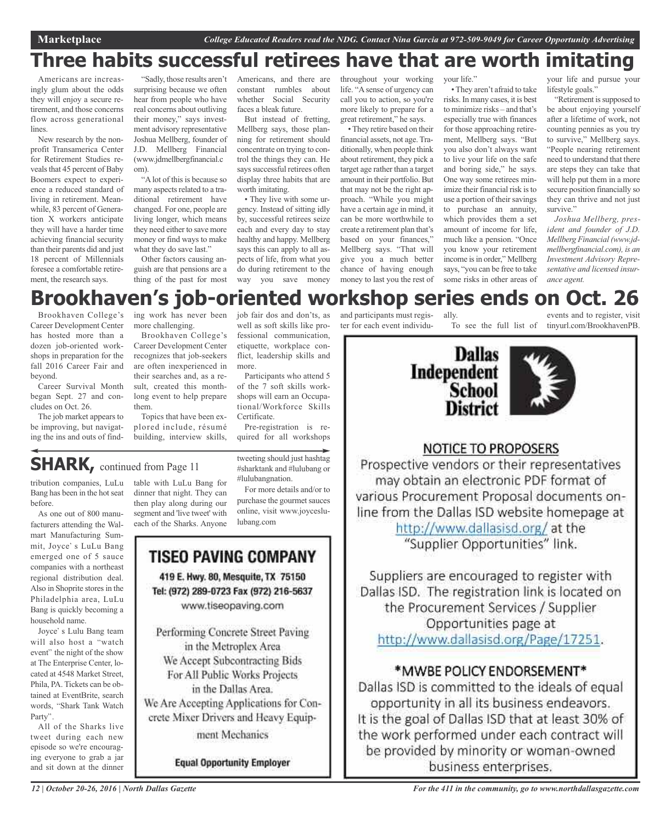## **Three habits successful retirees have that are worth imitating**

Americans are increasingly glum about the odds they will enjoy a secure retirement, and those concerns flow across generational lines.

New research by the nonprofit Transamerica Center for Retirement Studies reveals that 45 percent of Baby Boomers expect to experience a reduced standard of living in retirement. Meanwhile, 83 percent of Generation X workers anticipate they will have a harder time achieving financial security than their parents did and just 18 percent of Millennials foresee a comfortable retirement, the research says.

"Sadly, those results aren't surprising because we often hear from people who have real concerns about outliving their money," says investment advisory representative Joshua Mellberg, founder of J.D. Mellberg Financial (www.jdmellbergfinancial.c om).

"A lot of this is because so many aspects related to a traditional retirement have changed. For one, people are living longer, which means they need either to save more money or find ways to make what they do save last."

Other factors causing anguish are that pensions are a thing of the past for most Americans, and there are constant rumbles about whether Social Security faces a bleak future.

But instead of fretting, Mellberg says, those planning for retirement should concentrate on trying to control the things they can. He says successful retirees often display three habits that are worth imitating.

• They live with some urgency. Instead of sitting idly by, successful retirees seize each and every day to stay healthy and happy. Mellberg says this can apply to all aspects of life, from what you do during retirement to the way you save money

throughout your working life. "A sense of urgency can call you to action, so you're more likely to prepare for a great retirement," he says.

• They retire based on their financial assets, not age. Traditionally, when people think about retirement, they pick a target age rather than a target amount in their portfolio. But that may not be the right approach. "While you might have a certain age in mind, it can be more worthwhile to create a retirement plan that's based on your finances," Mellberg says. "That will give you a much better chance of having enough money to last you the rest of your life."

• They aren't afraid to take risks. In many cases, it is best to minimize risks – and that's especially true with finances for those approaching retirement, Mellberg says. "But you also don't always want to live your life on the safe and boring side," he says. One way some retirees minimize their financial risk isto use a portion of their savings to purchase an annuity, which provides them a set amount of income for life, much like a pension. "Once you know your retirement income is in order," Mellberg says, "you can be free to take some risks in other areas of

your life and pursue your lifestyle goals.'

"Retirement is supposed to be about enjoying yourself after a lifetime of work, not counting pennies as you try to survive," Mellberg says. "People nearing retirement need to understand that there are steps they can take that will help put them in a more secure position financially so they can thrive and not just survive."

*Joshua Mellberg, president and founder of J.D. Mellberg Financial (www.jdmellbergfinancial.com), is an Investment Advisory Representative and licensed insurance agent.*

# **Brookhaven's job-oriented workshop series ends on Oct. 26**

Brookhaven College's Career Development Center has hosted more than a dozen job-oriented workshops in preparation for the fall 2016 Career Fair and beyond.

Career Survival Month began Sept. 27 and concludes on Oct. 26.

The job market appears to be improving, but navigating the ins and outs of find-

ing work has never been more challenging.

Brookhaven College's Career Development Center recognizes that job-seekers are often inexperienced in their searches and, as a result, created this monthlong event to help prepare them.

Topics that have been explored include, résumé building, interview skills, job fair dos and don'ts, as well as soft skills like professional communication, etiquette, workplace conflict, leadership skills and more.

Participants who attend 5 of the 7 soft skills workshops will earn an Occupational/Workforce Skills Certificate.

Pre-registration is required for all workshops

tweeting should just hashtag

## **SHARK**, continued from Page 11

tribution companies, LuLu Bang has been in the hot seat before.

As one out of 800 manufacturers attending the Walmart Manufacturing Summit, Joyce's LuLu Bang emerged one of 5 sauce companies with a northeast regional distribution deal. Also in Shoprite stores in the Philadelphia area, LuLu Bang is quickly becoming a household name.

Joyce's Lulu Bang team will also host a "watch event" the night of the show at The Enterprise Center, located at 4548 Market Street, Phila, PA. Tickets can be obtained at EventBrite, search words, "Shark Tank Watch Party".

All of the Sharks live tweet during each new episode so we're encouraging everyone to grab a jar and sit down at the dinner table with LuLu Bang for dinner that night. They can then play along during our segment and 'live tweet' with each of the Sharks. Anyone #sharktank and #lulubang or #lulubangnation. For more details and/or to purchase the gourmet sauces online, visit www.joyceslu-

lubang.com

**TISEO PAVING COMPANY** 419 E. Hwy. 80, Mesquite, TX 75150 Tel: (972) 289-0723 Fax (972) 216-5637 www.tiseopaving.com

Performing Concrete Street Paving in the Metroplex Area We Accept Subcontracting Bids For All Public Works Projects in the Dallas Area. We Are Accepting Applications for Concrete Mixer Drivers and Heavy Equip-

ment Mechanics

**Equal Opportunity Employer** 

and participants must register for each event individually.

To see the full list of



events and to register, visit tinyurl.com/BrookhavenPB.

# **NOTICE TO PROPOSERS**

Prospective vendors or their representatives may obtain an electronic PDF format of various Procurement Proposal documents online from the Dallas ISD website homepage at http://www.dallasisd.org/ at the "Supplier Opportunities" link.

Suppliers are encouraged to register with Dallas ISD. The registration link is located on the Procurement Services / Supplier Opportunities page at http://www.dallasisd.org/Page/17251.

### \*MWBE POLICY ENDORSEMENT\*

Dallas ISD is committed to the ideals of equal opportunity in all its business endeavors. It is the goal of Dallas ISD that at least 30% of the work performed under each contract will be provided by minority or woman-owned business enterprises.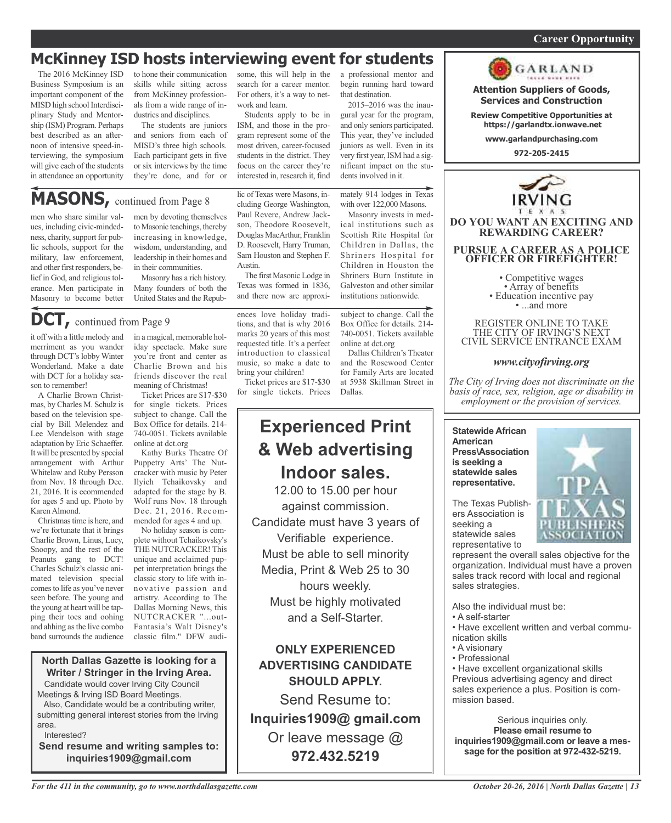### *On a quest for qualified candidates? Contact Nina Garcia at 972-509-9049* **Career Opportunity**

## **McKinney ISD hosts interviewing event for students**

The 2016 McKinney ISD Business Symposium is an important component of the MISD high school Interdisciplinary Study and Mentorship (ISM) Program. Perhaps best described as an afternoon of intensive speed-interviewing, the symposium will give each of the students in attendance an opportunity

to hone their communication skills while sitting across from McKinney professionals from a wide range of industries and disciplines.

The students are juniors and seniors from each of MISD's three high schools. Each participant gets in five or six interviews by the time they're done, and for or

## **MASONS,** continued from Page <sup>8</sup>

men who share similar values, including civic-mindedness, charity, support for public schools, support for the military, law enforcement, and other first responders, belief in God, and religious tolerance. Men participate in Masonry to become better

men by devoting themselves to Masonic teachings, thereby increasing in knowledge, wisdom, understanding, and leadership in their homes and in their communities.

Masonry has a rich history. Many founders of both the United States and the Repub-

## **DCT,** continued from Page <sup>9</sup>

it off with a little melody and merriment as you wander through DCT's lobby Winter Wonderland. Make a date with DCT for a holiday season to remember!

A Charlie Brown Christmas, by Charles M. Schulz is based on the television special by Bill Melendez and Lee Mendelson with stage adaptation by Eric Schaeffer. It will be presented by special arrangement with Arthur Whitelaw and Ruby Persson from Nov. 18 through Dec. 21, 2016. It is ecommended for ages 5 and up. Photo by Karen Almond.

Christmas time is here, and we're fortunate that it brings Charlie Brown, Linus, Lucy, Snoopy, and the rest of the Peanuts gang to DCT! Charles Schulz's classic animated television special comesto life as you've never seen before. The young and the young at heart will be tapping their toes and oohing and ahhing asthe live combo band surrounds the audience

in a magical, memorable holiday spectacle. Make sure you're front and center as Charlie Brown and his friends discover the real meaning of Christmas!

Ticket Prices are \$17-\$30 for single tickets. Prices subject to change. Call the Box Office for details. 214- 740-0051. Tickets available online at dct.org

Kathy Burks Theatre Of Puppetry Arts' The Nutcracker with music by Peter Ilyich Tchaikovsky and adapted for the stage by B. Wolf runs Nov. 18 through Dec. 21, 2016. Recommended for ages 4 and up.

No holiday season is complete without Tchaikovsky's THE NUTCRACKER! This unique and acclaimed puppet interpretation brings the classic story to life with innovative passion and artistry. According to The Dallas Morning News, this NUTCRACKER "...out-Fantasia's Walt Disney's classic film." DFW audi-

### **North Dallas Gazette is looking for a Writer / Stringer in the Irving Area.**

Candidate would cover Irving City Council Meetings & Irving ISD Board Meetings.

Also, Candidate would be a contributing writer, submitting general interest stories from the Irving area.

Interested?

**Send resume and writing samples to: inquiries1909@gmail.com**

some, this will help in the search for a career mentor. For others, it's a way to network and learn.

Students apply to be in ISM, and those in the program represent some of the most driven, career-focused students in the district. They focus on the career they're interested in, research it, find

lic of Texas were Masons, including George Washington, Paul Revere, Andrew Jackson, Theodore Roosevelt, Douglas MacArthur, Franklin D. Roosevelt, Harry Truman, Sam Houston and Stephen F. Austin.

The first Masonic Lodge in Texas was formed in 1836, and there now are approxi-

ences love holiday traditions, and that is why 2016 marks 20 years of this most requested title. It's a perfect introduction to classical music, so make a date to bring your children!

Ticket prices are \$17-\$30 for single tickets. Prices

## **Experienced Print & Web advertising Indoor sales.**

12.00 to 15.00 per hour against commission. Candidate must have 3 years of Verifiable experience. Must be able to sell minority Media, Print & Web 25 to 30 hours weekly. Must be highly motivated and a Self-Starter.

**ONLY EXPERIENCED ADVERTISING CANDIDATE SHOULD APPLY.**

Send Resume to: **Inquiries1909@ gmail.com** Or leave message @ **972.432.5219**

a professional mentor and begin running hard toward that destination.

2015–2016 was the inaugural year for the program, and only seniors participated. This year, they've included juniors as well. Even in its very first year, ISM had a significant impact on the students involved in it.

mately 914 lodges in Texas with over 122,000 Masons.

Masonry invests in medical institutions such as Scottish Rite Hospital for Children in Dallas, the Shriners Hospital for Children in Houston the Shriners Burn Institute in Galveston and other similar institutions nationwide.

subject to change. Call the Box Office for details. 214- 740-0051. Tickets available online at dct.org

Dallas Children's Theater and the Rosewood Center for Family Arts are located at 5938 Skillman Street in Dallas.



GARLAND

**www.garlandpurchasing.com**

**972-205-2415**



**PURSUE A CAREER AS A POLICE OFFICER OR FIREFIGHTER!**

• Competitive wages<br>• Array of benefits<br>• Education incentive pay<br>• ...and more

REGISTER ONLINE TO TAKE THE CITY OF IRVING'S NEXT CIVIL SERVICE ENTRANCE EXAM

### *www.cityofirving.org*

*The City of Irving does not discriminate on the basis of race, sex, religion, age or disability in employment or the provision of services.*

**Statewide African American Press\Association is seeking a statewide sales representative.**

The Texas Publishers Association is seeking a statewide sales representative to



represent the overall sales objective for the organization. Individual must have a proven sales track record with local and regional sales strategies.

Also the individual must be:

- A self-starter
- Have excellent written and verbal communication skills
- A visionary
- Professional

• Have excellent organizational skills Previous advertising agency and direct sales experience a plus. Position is commission based.

Serious inquiries only. **Please email resume to inquiries1909@gmail.com or leave a message for the position at 972-432-5219.**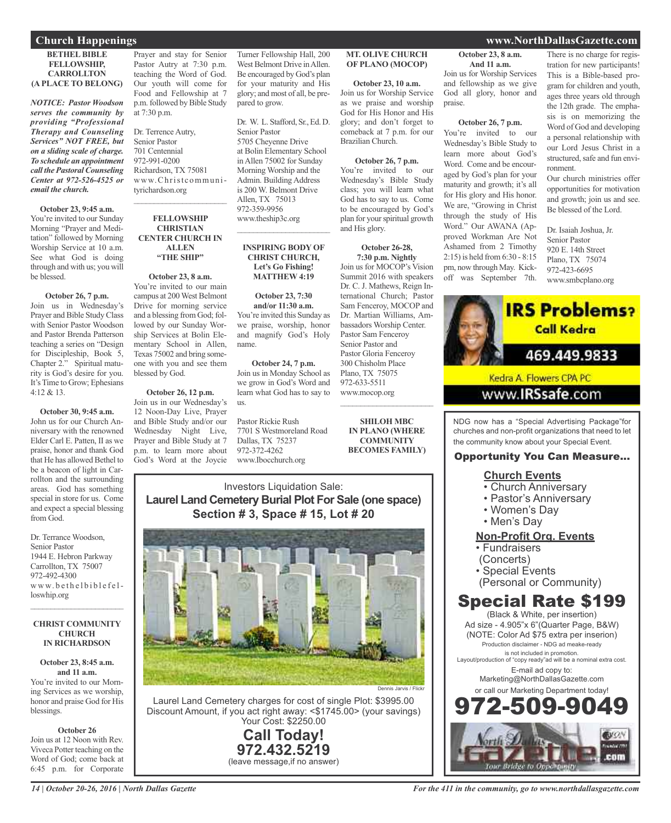#### **BETHEL BIBLE FELLOWSHIP, CARROLLTON (A PLACE TO BELONG)**

*NOTICE: Pastor Woodson serves the community by providing "Professional Therapy and Counseling Services" NOT FREE, but on a sliding scale of charge. To schedule an appointment call the Pastoral Counseling Center at 972-526-4525 or email the church.*

**October 23, 9:45 a.m.** You're invited to our Sunday Morning "Prayer and Meditation" followed by Morning Worship Service at 10 a.m. See what God is doing through and with us; you will be blessed.

### **October 26, 7 p.m.**

Join us in Wednesday's Prayer and Bible Study Class with Senior Pastor Woodson and Pastor Brenda Patterson teaching a series on "Design for Discipleship, Book 5, Chapter 2." Spiritual maturity is God's desire for you. It's Time to Grow; Ephesians 4:12 & 13.

### **October 30, 9:45 a.m.**

John us for our Church Anniversary with the renowned Elder Carl E. Patten, II as we praise, honor and thank God that He has allowed Bethel to be a beacon of light in Carrollton and the surrounding areas. God has something special in store for us. Come and expect a special blessing from God.

Dr. Terrance Woodson, Senior Pastor 1944 E. Hebron Parkway Carrollton, TX 75007 972-492-4300 www.bethelbiblefelloswhip.org \_\_\_\_\_\_\_\_\_\_\_\_\_\_\_\_\_\_\_\_\_\_\_

### **CHRIST COMMUNITY CHURCH IN RICHARDSON**

**October 23, 8:45 a.m. and 11 a.m.** You're invited to our Morning Services as we worship, honor and praise God for His blessings.

### **October 26**

Join us at 12 Noon with Rev. Viveca Potter teaching on the Word of God; come back at 6:45 p.m. for Corporate

Prayer and stay for Senior Pastor Autry at 7:30 p.m. teaching the Word of God. Our youth will come for Food and Fellowship at 7 p.m. followed by Bible Study at 7:30 p.m.

Dr. Terrence Autry, Senior Pastor 701 Centennial 972-991-0200 Richardson, TX 75081 www.Christcommunityrichardson.org  $\overline{\phantom{a}}$  ,  $\overline{\phantom{a}}$  ,  $\overline{\phantom{a}}$  ,  $\overline{\phantom{a}}$  ,  $\overline{\phantom{a}}$  ,  $\overline{\phantom{a}}$  ,  $\overline{\phantom{a}}$  ,  $\overline{\phantom{a}}$  ,  $\overline{\phantom{a}}$  ,  $\overline{\phantom{a}}$  ,  $\overline{\phantom{a}}$  ,  $\overline{\phantom{a}}$  ,  $\overline{\phantom{a}}$  ,  $\overline{\phantom{a}}$  ,  $\overline{\phantom{a}}$  ,  $\overline{\phantom{a}}$ 

### **FELLOWSHIP CHRISTIAN CENTER CHURCH IN ALLEN "THE SHIP"**

**October 23, 8 a.m.** You're invited to our main campus at 200West Belmont Drive for morning service and a blessing from God; followed by our Sunday Worship Services at Bolin Elementary School in Allen, Texas 75002 and bring someone with you and see them blessed by God.

### **October 26, 12 p.m.**

Join us in our Wednesday's 12 Noon-Day Live, Prayer and Bible Study and/or our Wednesday Night Live, Prayer and Bible Study at 7 p.m. to learn more about God's Word at the Joycie

Turner Fellowship Hall, 200 West Belmont Drive in Allen. Be encouraged by God's plan for your maturity and His glory; and most of all, be prepared to grow.

Dr. W. L. Stafford, Sr., Ed. D. Senior Pastor 5705 Cheyenne Drive at Bolin Elementary School in Allen 75002 for Sunday Morning Worship and the Admin. Building Address is 200 W. Belmont Drive Allen, TX 75013 972-359-9956 www.theship3c.org

#### **INSPIRING BODY OF CHRIST CHURCH, Let's Go Fishing! MATTHEW 4:19**

 $\overline{\phantom{a}}$  , and the set of the set of the set of the set of the set of the set of the set of the set of the set of the set of the set of the set of the set of the set of the set of the set of the set of the set of the s

**October 23, 7:30 and/or 11:30 a.m.** You're invited this Sunday as we praise, worship, honor and magnify God's Holy name.

**October 24, 7 p.m.** Join us in Monday School as we grow in God's Word and learn what God has to say to us.

Pastor Rickie Rush 7701 S Westmoreland Road Dallas, TX 75237 972-372-4262 www.Ibocchurch.org

### **MT. OLIVE CHURCH OF PLANO (MOCOP)**

**October 23, 10 a.m.** Join us for Worship Service as we praise and worship God for His Honor and His glory; and don't forget to comeback at 7 p.m. for our Brazilian Church.

### **October 26, 7 p.m.**

You're invited to our Wednesday's Bible Study class; you will learn what God has to say to us. Come to be encouraged by God's plan for yourspiritual growth and His glory.

**October 26-28, 7:30 p.m. Nightly** Join us for MOCOP's Vision Summit 2016 with speakers Dr. C. J. Mathews, Reign International Church; Pastor Sam Fenceroy, MOCOP and Dr. Martian Williams, Ambassadors Worship Center. Pastor Sam Fenceroy Senior Pastor and Pastor Gloria Fenceroy 300 Chisholm Place Plano, TX 75075 972-633-5511 www.mocop.org

**SHILOH MBC IN PLANO (WHERE COMMUNITY BECOMES FAMILY)**

 $\overline{\phantom{a}}$  ,  $\overline{\phantom{a}}$  ,  $\overline{\phantom{a}}$  ,  $\overline{\phantom{a}}$  ,  $\overline{\phantom{a}}$  ,  $\overline{\phantom{a}}$  ,  $\overline{\phantom{a}}$  ,  $\overline{\phantom{a}}$  ,  $\overline{\phantom{a}}$  ,  $\overline{\phantom{a}}$  ,  $\overline{\phantom{a}}$  ,  $\overline{\phantom{a}}$  ,  $\overline{\phantom{a}}$  ,  $\overline{\phantom{a}}$  ,  $\overline{\phantom{a}}$  ,  $\overline{\phantom{a}}$ 

Investors Liquidation Sale: **Laurel Land Cemetery Burial Plot For Sale (one space) Section # 3, Space # 15, Lot # 20**



Laurel Land Cemetery charges for cost of single Plot: \$3995.00 Discount Amount, if you act right away: <\$1745.00> (your savings) Your Cost: \$2250.00

> **Call Today! 972.432.5219** (leave message,if no answer)

## **October 23, 8 a.m.**

**And 11 a.m.** Join us for Worship Services and fellowship as we give God all glory, honor and praise.

### **October 26, 7 p.m.**

You're invited to our Wednesday's Bible Study to learn more about God's Word. Come and be encouraged by God's plan for your maturity and growth; it's all for His glory and His honor. We are, "Growing in Christ through the study of His Word." Our AWANA (Approved Workman Are Not Ashamed from 2 Timothy 2:15) is held from 6:30 - 8:15 pm, now through May. Kickoff was September 7th.

There is no charge for registration for new participants! This is a Bible-based program for children and youth, ages three years old through the 12th grade. The emphasis is on memorizing the Word of God and developing a personal relationship with our Lord Jesus Christ in a structured, safe and fun environment.

Our church ministries offer opportunities for motivation and growth; join us and see. Be blessed of the Lord.

Dr. Isaiah Joshua, Jr. Senior Pastor 920 E. 14th Street Plano, TX 75074 972-423-6695 www.smbcplano.org



www.**IRSsafe**.com

NDG now has a "Special Advertising Package"for churches and non-profit organizations that need to let the community know about your Special Event.

### Opportunity You Can Measure...

### **Church Events**

- Church Anniversary
- Pastor's Anniversary
- Women's Day
- Men's Day

### **Non-Profit Org. Events**

- Fundraisers
- (Concerts)
- Special Events
- (Personal or Community)

## Special Rate \$199

(Black & White, per insertion) Ad size - 4.905"x 6"(Quarter Page, B&W) (NOTE: Color Ad \$75 extra per inserion) Production disclaimer - NDG ad meake-ready is not included in promotion. Layout/production of "copy ready"ad will be a nominal extra cost. E-mail ad copy to: Marketing@NorthDallasGazette.com or call our Marketing Department today! 972-509-9049



### **Church Happenings www.NorthDallasGazette.com**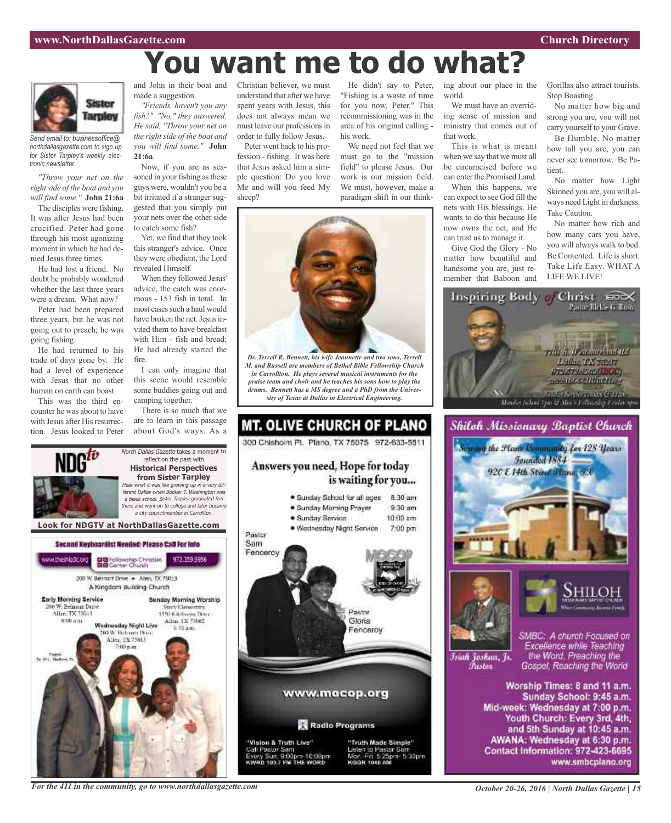# **You want me to do what?**



*Send email to: businessoffice@ northdallasgazette.com to sign up for Sister Tarpley's weekly electronic newsletter.*

*"Throw your net on the*  $right side of the boat and you$ *will find some."* **John 21:6a**

The disciples were fishing. It was after Jesus had been crucified. Peter had gone through his most agonizing moment in which he had denied Jesus three times.

He had lost a friend. No doubt he probably wondered whether the last three years were a dream. What now?

Peter had been prepared three years, but he was not going out to preach; he was going fishing.

He had returned to his trade of days gone by. He had a level of experience with Jesus that no other human on earth can boast.

This was the third encounter he was about to have with Jesus after His resurrection. Jesus looked to Peter

ww.theshlp3c.org

**Early Morning Service** 

00 W. Belmont Drive

Alice TX 75013

**图 00 点 图** 

and John in their boat and made a suggestion.

*"Friends, haven't you any fish?" "No," they answered. He said, "Throw your net on the right side of the boat and you will find some."* **John 21:6a**.

Now, if you are as seasoned in your fishing as these guys were, wouldn't you be a bit irritated if a stranger suggested that you simply put your nets over the other side to catch some fish?

Yet, we find that they took this stranger's advice. Once they were obedient, the Lord revealed Himself.

When they followed Jesus' advice, the catch was enormous - 153 fish in total. In most cases such a haul would have broken the net. Jesus invited them to have breakfast with Him - fish and bread; He had already started the fire.

I can only imagine that this scene would resemble some buddies going out and camping together.

There is so much that we are to learn in this passage about God's ways. As a

972.359.9956

Sunday Morning Worship

**Nexty Elementary** 

1450 Ethnologies Drug-

Allen, 1X 75002

North Dallas Gazette takes a moment to reflect on the past with **Historical Perspectives from Sister Tarpley** Hear what it was like growing up in <sup>a</sup> very different Dallas when Booker T. Washington was <sup>a</sup> black school. Sister Tarpley graduated frm there and went on to college and later became <sup>a</sup> city councilmember in Carrollton.

**Look for NDGTV at NorthDallasGazette.com**

Second Keyboardist Needed: Please CaB For Info

DE Fellowship Christian<br>BIB Center Church

200 W. Bernsht Drive . - Allen, TX 75013 A Kingdom Building Church

Wadnasday Night Live

**DO W. Retroem Days** 

Allen, TX 75013

Christian believer, we must understand that after we have spent years with Jesus, this does not always mean we must leave our professions in order to fully follow Jesus.

Peter went back to his profession - fishing. It was here that Jesus asked him a simple question: Do you love Me and will you feed My sheep?

He didn't say to Peter, ing about our place in the "Fishing is a waste of time for you now, Peter." This recommissioning was in the area of his original calling his work.

We need not feel that we must go to the "mission field" to please Jesus. Our work is our mission field. We must, however, make a paradigm shift in our think-



*Dr. Terrell R. Bennett, his wife Jeannette and two sons, Terrell M. and Russell are members of Bethel Bible Fellowship Church in Carrollton. He plays several musical instruments for the praise team and choir and he teaches his sons how to play the drums. Bennett has a MS degree and a PhD from the University of Texas at Dallas in Electrical Engineering.*



world.

We must have an overriding sense of mission and ministry that comes out of that work.

This is what is meant when we say that we must all be circumcised before we can enter the Promised Land.

When this happens, we can expect to see God fill the nets with His blessings. He wants to do this because He now owns the net, and He can trust us to manage it.

Give God the Glory - No matter how beautiful and handsome you are, just remember that Baboon and Gorillas also attract tourists. Stop Boasting.

No matter how big and strong you are, you will not carry yourself to your Grave.

Be Humble. No matter how tall you are, you can never see tomorrow. Be Patient.

No matter how Light Skinned you are, you will always need Light in darkness. Take Caution.

No matter how rich and how many cars you have, you will always walk to bed. Be Contented. Life is short. Take Life Easy. WHAT A LIFE WE LIVE!







Īsiah Joshua, Jr. Fustor

SMBC: A church Focused on Excellence while Teaching the Word. Preaching the Gospel, Reaching the World

Worship Times: 8 and 11 a.m. Sunday School: 9:45 a.m. Mid-week: Wednesday at 7:00 p.m. Youth Church: Every 3rd, 4th, and 5th Sunday at 10:45 a.m. AWANA: Wednesday at 6:30 p.m. Contact Information: 972-423-6695 www.smbcplano.org

*For the 411 in the community, go to www.northdallasgazette.com*